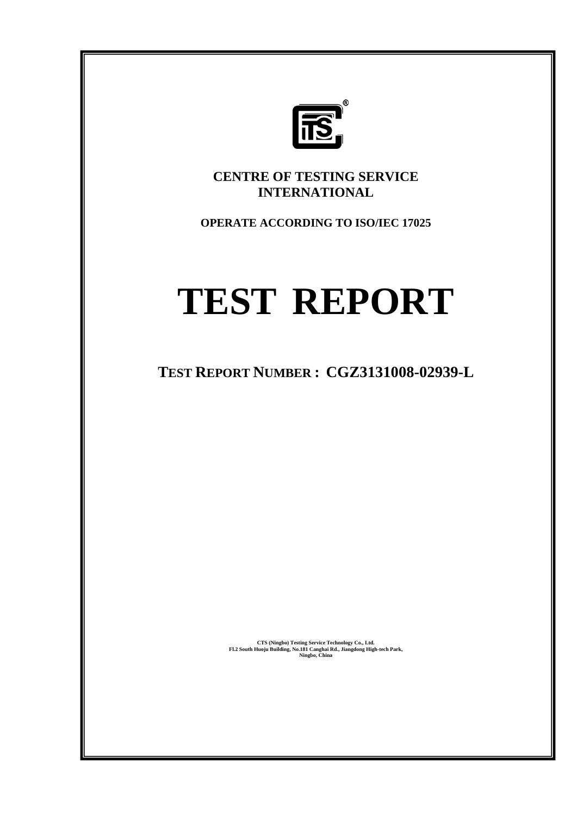

**CENTRE OF TESTING SERVICE INTERNATIONAL** 

**OPERATE ACCORDING TO ISO/IEC 17025** 

## **TEST REPORT**

**TEST REPORT NUMBER : CGZ3131008-02939-L** 

**CTS (Ningbo) Testing Service Technology Co., Ltd. Fl.2 South Huoju Building, No.181 Canghai Rd., Jiangdong High-tech Park, Ningbo, China**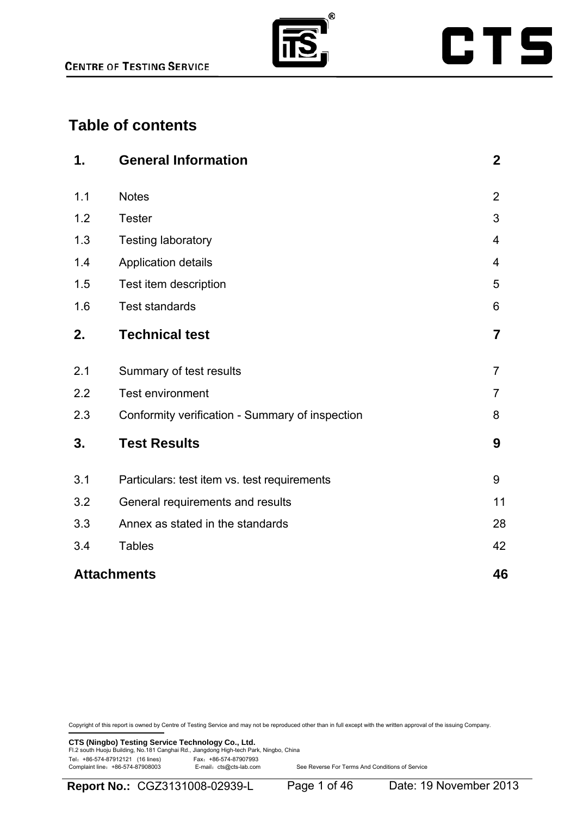

## **Table of contents**

| 1.  | <b>General Information</b>                      | $\boldsymbol{2}$ |
|-----|-------------------------------------------------|------------------|
| 1.1 | <b>Notes</b>                                    | $\overline{2}$   |
| 1.2 | <b>Tester</b>                                   | 3                |
| 1.3 | <b>Testing laboratory</b>                       | 4                |
| 1.4 | Application details                             | $\overline{4}$   |
| 1.5 | Test item description                           | 5                |
| 1.6 | <b>Test standards</b>                           | 6                |
| 2.  | <b>Technical test</b>                           | $\overline{7}$   |
| 2.1 | Summary of test results                         | $\overline{7}$   |
| 2.2 | <b>Test environment</b>                         | $\overline{7}$   |
| 2.3 | Conformity verification - Summary of inspection | 8                |
| 3.  | <b>Test Results</b>                             | 9                |
| 3.1 | Particulars: test item vs. test requirements    | 9                |
| 3.2 | General requirements and results                | 11               |
| 3.3 | Annex as stated in the standards                | 28               |
| 3.4 | <b>Tables</b>                                   | 42               |
|     | <b>Attachments</b>                              | 46               |

Copyright of this report is owned by Centre of Testing Service and may not be reproduced other than in full except with the written approval of the issuing Company.

**CTS (Ningbo) Testing Service Technology Co., Ltd.**<br>Fl.2 south Huoju Building, No.181 Canghai Rd., Jiangdong High-tech Park, Ningbo, China Tel: +86-574-87912121 (16 lines)<br>Complaint line: +86-574-87908003 E-mail: cts@cts-lab.com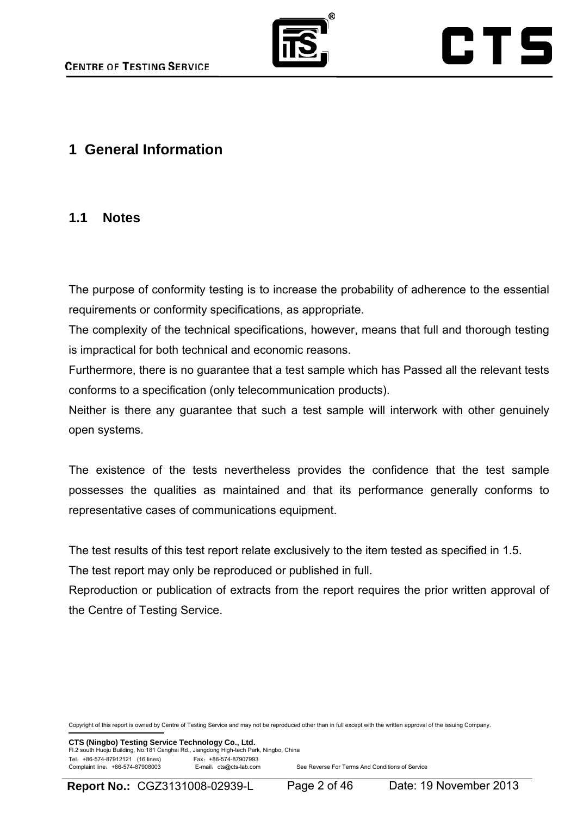

## **1 General Information**

### **1.1 Notes**

The purpose of conformity testing is to increase the probability of adherence to the essential requirements or conformity specifications, as appropriate.

The complexity of the technical specifications, however, means that full and thorough testing is impractical for both technical and economic reasons.

Furthermore, there is no guarantee that a test sample which has Passed all the relevant tests conforms to a specification (only telecommunication products).

Neither is there any guarantee that such a test sample will interwork with other genuinely open systems.

The existence of the tests nevertheless provides the confidence that the test sample possesses the qualities as maintained and that its performance generally conforms to representative cases of communications equipment.

The test results of this test report relate exclusively to the item tested as specified in 1.5.

The test report may only be reproduced or published in full.

Reproduction or publication of extracts from the report requires the prior written approval of the Centre of Testing Service.

Copyright of this report is owned by Centre of Testing Service and may not be reproduced other than in full except with the written approval of the issuing Company.

**CTS (Ningbo) Testing Service Technology Co., Ltd.** Fl.2 south Huoju Building, No.181 Canghai Rd., Jiangdong High-tech Park, Ningbo, China Tel: +86-574-87912121 (16 lines)<br>Complaint line: +86-574-87908003 E-mail: cts@cts-lab.com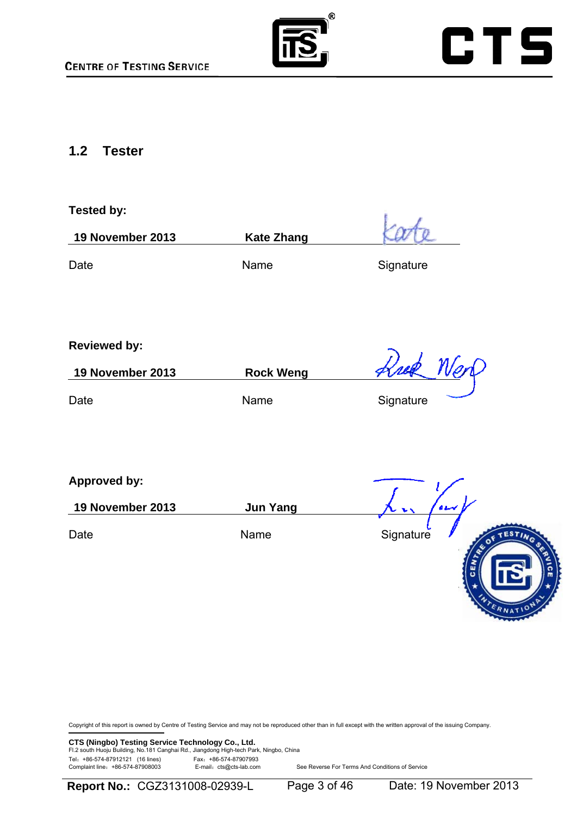



### **1.2 Tester**

## **Tested by: 19 November 2013 Kate Zhang**  Date **Name** Name Signature

**Reviewed by:**

**19 November 2013 Rock Weng** 

Date **Name** Name Signature

**Approved by:**

**19 November 2013 Jun Yang** 

Date **Name** Name Signature

Copyright of this report is owned by Centre of Testing Service and may not be reproduced other than in full except with the written approval of the issuing Company.

**CTS (Ningbo) Testing Service Technology Co., Ltd.**<br>Fl.2 south Huoju Building, No.181 Canghai Rd., Jiangdong High-tech Park, Ningbo, China Tel: +86-574-87912121 (16 lines) Fax: +86-574-87907993<br>Complaint line: +86-574-87908003 E-mail: cts@cts-lab.com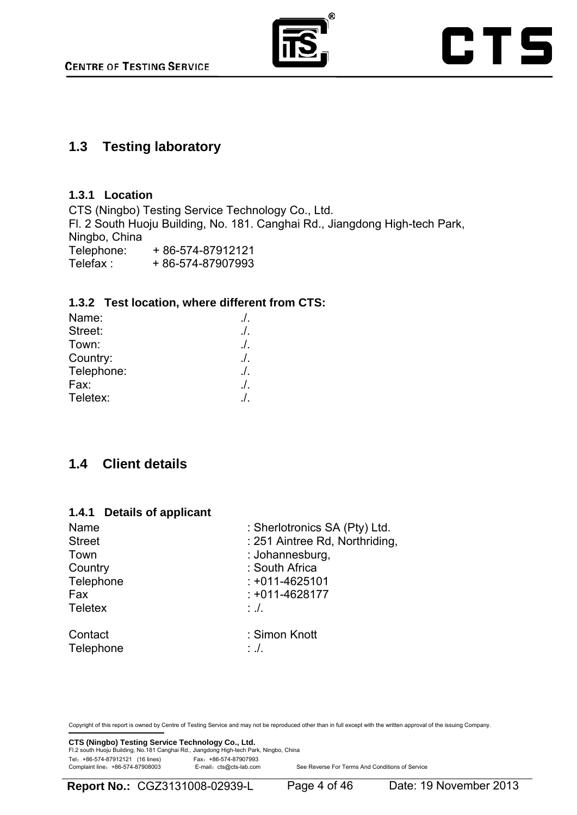

### **1.3 Testing laboratory**

#### **1.3.1 Location**

CTS (Ningbo) Testing Service Technology Co., Ltd. Fl. 2 South Huoju Building, No. 181. Canghai Rd., Jiangdong High-tech Park, Ningbo, China Telephone: + 86-574-87912121 Telefax + 86-574-87907993

#### **1.3.2 Test location, where different from CTS:**

| Name:      | $\Lambda$ |
|------------|-----------|
| Street:    | $\Lambda$ |
| Town:      | $\Lambda$ |
| Country:   | $\Lambda$ |
| Telephone: | $\Lambda$ |
| Fax:       | $\Lambda$ |
| Teletex:   | $\prime$  |

## **1.4 Client details**

#### **1.4.1 Details of applicant**

| Name           | : Sherlotronics SA (Pty) Ltd.  |
|----------------|--------------------------------|
| <b>Street</b>  | : 251 Aintree Rd, Northriding, |
| Town           | : Johannesburg,                |
| Country        | : South Africa                 |
| Telephone      | $: +011 - 4625101$             |
| Fax            | $: +011 - 4628177$             |
| <b>Teletex</b> | $\therefore$ .                 |
| Contact        | : Simon Knott                  |
| Telephone      | $\cdot$ .                      |

Copyright of this report is owned by Centre of Testing Service and may not be reproduced other than in full except with the written approval of the issuing Company.

**CTS (Ningbo) Testing Service Technology Co., Ltd.**<br>Fl.2 south Huoju Building, No.181 Canghai Rd., Jiangdong High-tech Park, Ningbo, China Tel: +86-574-87912121 (16 lines)<br>Complaint line: +86-574-87908003 E-mail: cts@cts-lab.com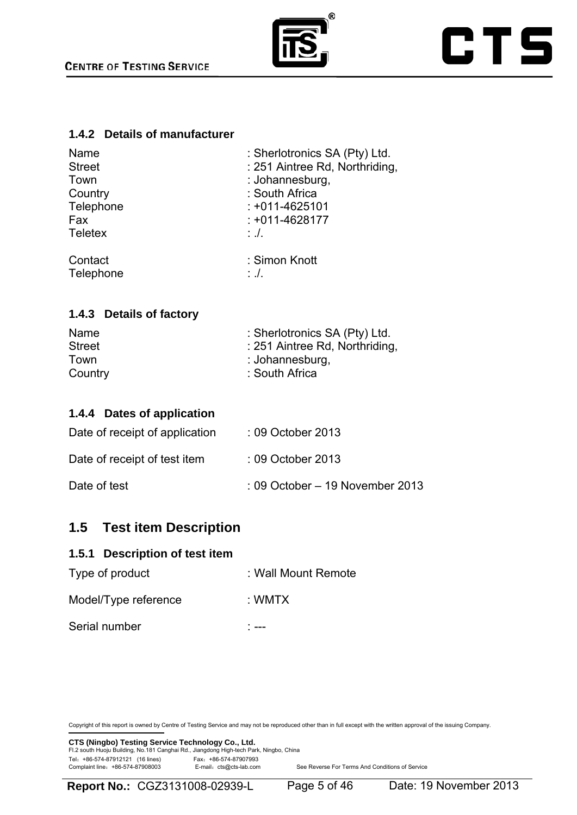

#### **1.4.2 Details of manufacturer**

| Name           | : Sherlotronics SA (Pty) Ltd.  |
|----------------|--------------------------------|
| <b>Street</b>  | : 251 Aintree Rd, Northriding, |
| Town           | : Johannesburg,                |
| Country        | : South Africa                 |
| Telephone      | $: +011 - 4625101$             |
| Fax            | $: +011 - 4628177$             |
| <b>Teletex</b> | $\therefore$ .                 |
| Contact        | : Simon Knott                  |
| Telephone      | $\therefore$ .                 |

#### **1.4.3 Details of factory**

| Name          | : Sherlotronics SA (Pty) Ltd.  |
|---------------|--------------------------------|
| <b>Street</b> | : 251 Aintree Rd, Northriding, |
| Town          | : Johannesburg,                |
| Country       | : South Africa                 |

#### **1.4.4 Dates of application**

| Date of receipt of application | : 09 October 2013                          |
|--------------------------------|--------------------------------------------|
| Date of receipt of test item   | : 09 October 2013                          |
| Date of test                   | $\therefore$ 09 October – 19 November 2013 |

## **1.5 Test item Description**

#### **1.5.1 Description of test item**

| Type of product      | : Wall Mount Remote |
|----------------------|---------------------|
| Model/Type reference | : WMTX              |
| Serial number        |                     |

Copyright of this report is owned by Centre of Testing Service and may not be reproduced other than in full except with the written approval of the issuing Company.

**CTS (Ningbo) Testing Service Technology Co., Ltd.**<br>Fl.2 south Huoju Building, No.181 Canghai Rd., Jiangdong High-tech Park, Ningbo, China Tel: +86-574-87912121 (16 lines)<br>Complaint line: +86-574-87908003 E-mail: cts@cts-lab.com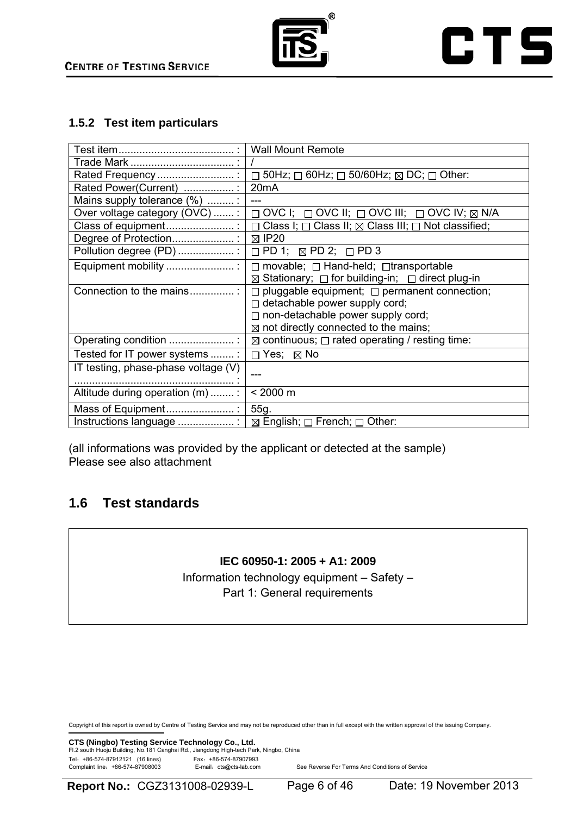

### **1.5.2 Test item particulars**

|                                     | <b>Wall Mount Remote</b>                                                       |
|-------------------------------------|--------------------------------------------------------------------------------|
|                                     |                                                                                |
| Rated Frequency                     | 50Hz; $\Box$ 60Hz; $\Box$ 50/60Hz; $\boxtimes$ DC; $\Box$ Other:<br>$\Box$     |
| Rated Power(Current) :              | 20 <sub>m</sub> A                                                              |
| Mains supply tolerance (%) :        |                                                                                |
| Over voltage category (OVC) :       | $\Box$ OVC I; $\Box$ OVC II; $\Box$ OVC III; $\Box$ OVC IV; $\boxtimes$ N/A    |
| Class of equipment                  | $\Box$ Class I; $\Box$ Class II; $\boxtimes$ Class III; $\Box$ Not classified; |
| Degree of Protection                | $\boxtimes$ IP20                                                               |
| Pollution degree (PD) :             | $\Box$ PD 1; $\boxtimes$ PD 2; $\Box$ PD 3                                     |
| Equipment mobility                  | $\Box$ movable; $\Box$ Hand-held; $\Box$ transportable                         |
|                                     | $\boxtimes$ Stationary; $\Box$ for building-in; $\Box$ direct plug-in          |
| Connection to the mains             | $\Box$ pluggable equipment; $\Box$ permanent connection;                       |
|                                     | $\Box$ detachable power supply cord;                                           |
|                                     | $\Box$ non-detachable power supply cord;                                       |
|                                     | $\boxtimes$ not directly connected to the mains;                               |
| Operating condition                 | $\boxtimes$ continuous; $\Box$ rated operating / resting time:                 |
| Tested for IT power systems :       | $\Box$ Yes; $\boxtimes$ No                                                     |
| IT testing, phase-phase voltage (V) |                                                                                |
|                                     |                                                                                |
| Altitude during operation (m)  :    | $< 2000 \text{ m}$                                                             |
| Mass of Equipment                   | 55g.                                                                           |
| Instructions language               | $\boxtimes$ English; $\Box$ French; $\Box$ Other:                              |

(all informations was provided by the applicant or detected at the sample) Please see also attachment

## **1.6 Test standards**

#### **IEC 60950-1: 2005 + A1: 2009**

Information technology equipment – Safety – Part 1: General requirements

Copyright of this report is owned by Centre of Testing Service and may not be reproduced other than in full except with the written approval of the issuing Company.

**CTS (Ningbo) Testing Service Technology Co., Ltd.**<br>Fl.2 south Huoju Building, No.181 Canghai Rd., Jiangdong High-tech Park, Ningbo, China Tel: +86-574-87912121 (16 lines)<br>Complaint line: +86-574-87908003 E-mail: cts@cts-lab.com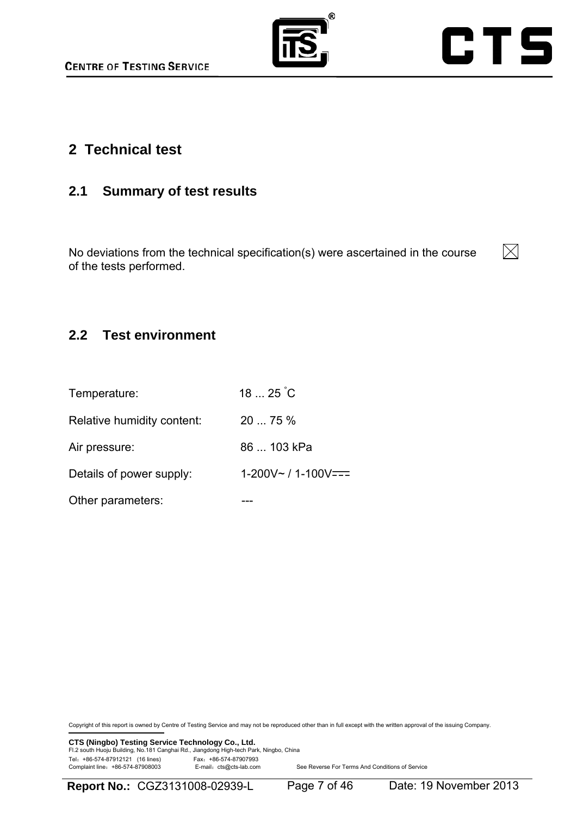



## **2 Technical test**

## **2.1 Summary of test results**

No deviations from the technical specification(s) were ascertained in the course of the tests performed.



## **2.2 Test environment**

| Temperature:               | $1825^\circ C$             |
|----------------------------|----------------------------|
| Relative humidity content: | 20  75 %                   |
| Air pressure:              | 86  103 kPa                |
| Details of power supply:   | $1-200V \sim 11-100V == 1$ |
| Other parameters:          |                            |

Copyright of this report is owned by Centre of Testing Service and may not be reproduced other than in full except with the written approval of the issuing Company.

**CTS (Ningbo) Testing Service Technology Co., Ltd.**<br>Fl.2 south Huoju Building, No.181 Canghai Rd., Jiangdong High-tech Park, Ningbo, China Tel: +86-574-87912121 (16 lines)<br>Complaint line: +86-574-87908003 E-mail: cts@cts-lab.com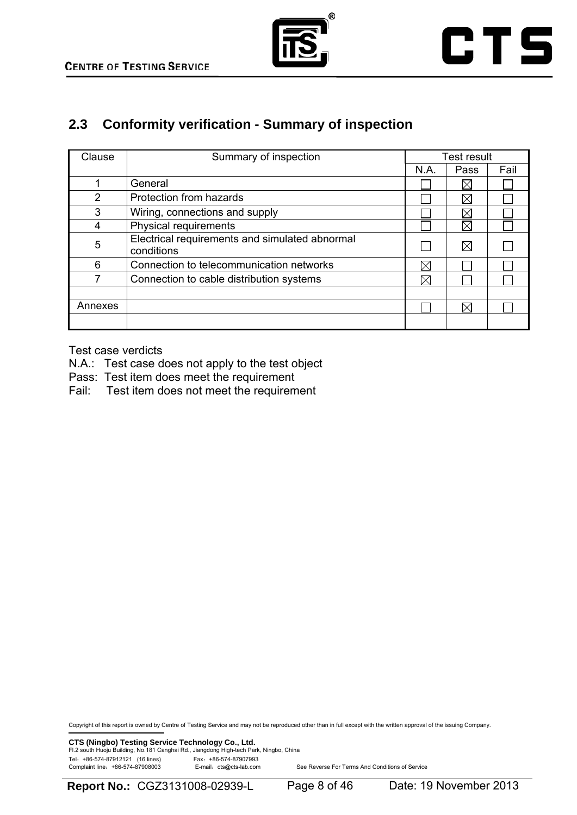



## **2.3 Conformity verification - Summary of inspection**

| Clause  | Summary of inspection                                        |      | Test result |      |
|---------|--------------------------------------------------------------|------|-------------|------|
|         |                                                              | N.A. | Pass        | Fail |
|         | General                                                      |      | ⋉           |      |
| 2       | Protection from hazards                                      |      |             |      |
| 3       | Wiring, connections and supply                               |      |             |      |
| 4       | Physical requirements                                        |      | ΙX          |      |
| 5       | Electrical requirements and simulated abnormal<br>conditions |      | $\boxtimes$ |      |
| 6       | Connection to telecommunication networks                     | ⋉    |             |      |
|         | Connection to cable distribution systems                     | M    |             |      |
|         |                                                              |      |             |      |
| Annexes |                                                              |      | $\boxtimes$ |      |
|         |                                                              |      |             |      |

Test case verdicts

- N.A.: Test case does not apply to the test object
- Pass: Test item does meet the requirement
- Fail: Test item does not meet the requirement

Copyright of this report is owned by Centre of Testing Service and may not be reproduced other than in full except with the written approval of the issuing Company.

**CTS (Ningbo) Testing Service Technology Co., Ltd.**<br>Fl.2 south Huoju Building, No.181 Canghai Rd., Jiangdong High-tech Park, Ningbo, China Tel: +86-574-87912121 (16 lines) Fax: +86-574-87907993<br>Complaint line: +86-574-87908003 E-mail: cts@cts-lab.com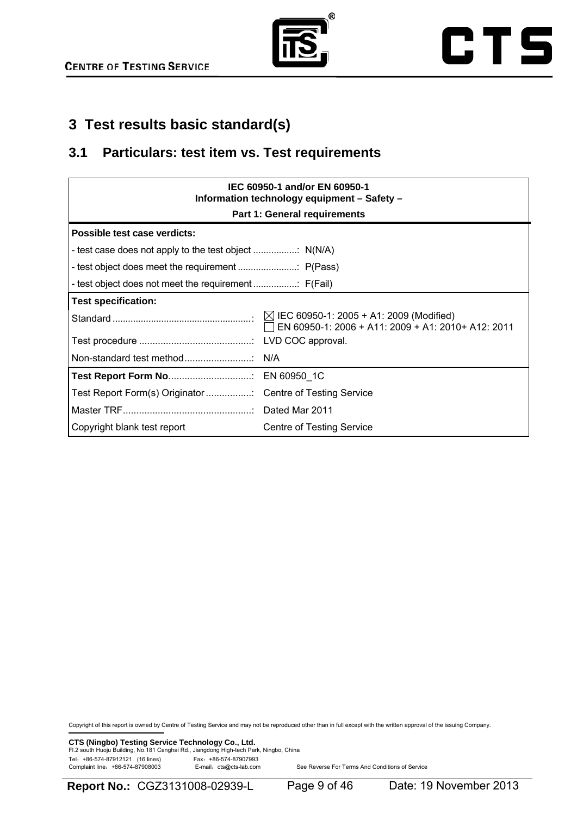



## **3 Test results basic standard(s)**

## **3.1 Particulars: test item vs. Test requirements**

| IEC 60950-1 and/or EN 60950-1<br>Information technology equipment - Safety - |                                                           |  |  |
|------------------------------------------------------------------------------|-----------------------------------------------------------|--|--|
| <b>Part 1: General requirements</b>                                          |                                                           |  |  |
| Possible test case verdicts:                                                 |                                                           |  |  |
|                                                                              |                                                           |  |  |
|                                                                              |                                                           |  |  |
|                                                                              |                                                           |  |  |
| <b>Test specification:</b>                                                   |                                                           |  |  |
|                                                                              | $\Box$ EN 60950-1: 2006 + A11: 2009 + A1: 2010+ A12: 2011 |  |  |
|                                                                              |                                                           |  |  |
|                                                                              |                                                           |  |  |
|                                                                              |                                                           |  |  |
|                                                                              |                                                           |  |  |
|                                                                              |                                                           |  |  |
| Copyright blank test report                                                  | Centre of Testing Service                                 |  |  |

Copyright of this report is owned by Centre of Testing Service and may not be reproduced other than in full except with the written approval of the issuing Company.

**CTS (Ningbo) Testing Service Technology Co., Ltd.**<br>Fl.2 south Huoju Building, No.181 Canghai Rd., Jiangdong High-tech Park, Ningbo, China Tel: +86-574-87912121 (16 lines)<br>Complaint line: +86-574-87908003 E-mail: cts@cts-lab.com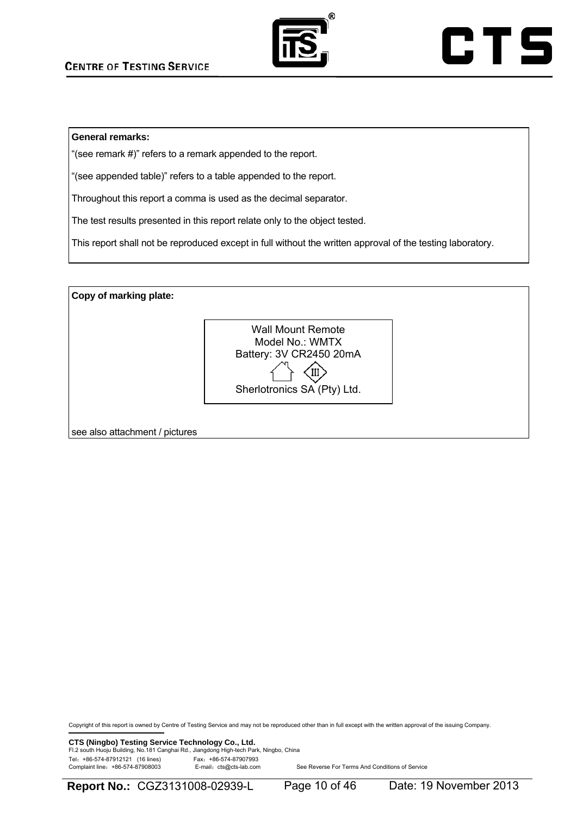

#### **General remarks:**

"(see remark #)" refers to a remark appended to the report.

"(see appended table)" refers to a table appended to the report.

Throughout this report a comma is used as the decimal separator.

The test results presented in this report relate only to the object tested.

This report shall not be reproduced except in full without the written approval of the testing laboratory.

**Copy of marking plate:**  see also attachment / pictures Wall Mount Remote Model No.: WMTX Battery: 3V CR2450 20mA  $\left\{\begin{matrix} \downarrow \\ \downarrow \end{matrix}\right\}$ <br>Sherlotronics SA (Pty) Ltd.

Copyright of this report is owned by Centre of Testing Service and may not be reproduced other than in full except with the written approval of the issuing Company.

**CTS (Ningbo) Testing Service Technology Co., Ltd.**<br>Fl.2 south Huoju Building, No.181 Canghai Rd., Jiangdong High-tech Park, Ningbo, China Tel: +86-574-87912121 (16 lines)<br>Complaint line: +86-574-87908003 E-mail: cts@cts-lab.com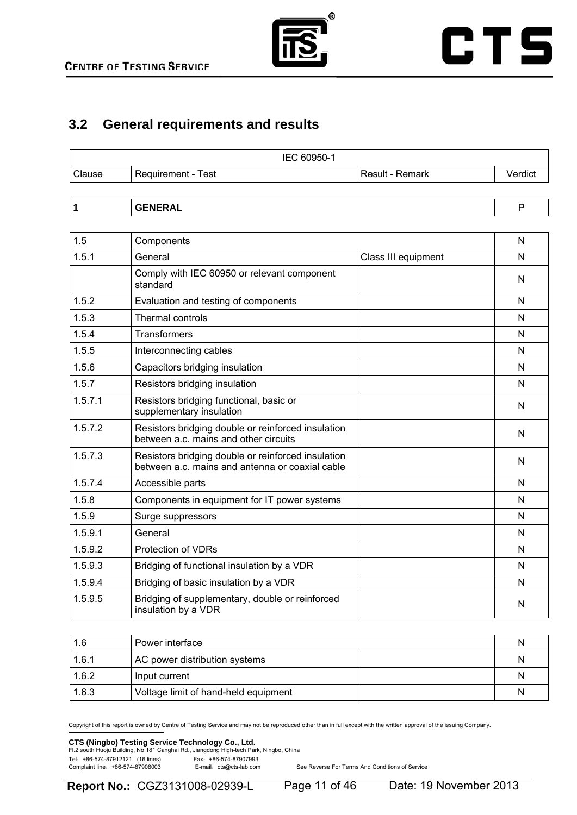

## **3.2 General requirements and results**

| Clause<br>Result - Remark<br>Requirement - Test | Verdict |
|-------------------------------------------------|---------|

|--|--|--|--|--|--|

| 1.5     | Components                                                                                            |                     | N |
|---------|-------------------------------------------------------------------------------------------------------|---------------------|---|
| 1.5.1   | General                                                                                               | Class III equipment | N |
|         | Comply with IEC 60950 or relevant component<br>standard                                               |                     | N |
| 1.5.2   | Evaluation and testing of components                                                                  |                     | N |
| 1.5.3   | <b>Thermal controls</b>                                                                               |                     | N |
| 1.5.4   | <b>Transformers</b>                                                                                   |                     | N |
| 1.5.5   | Interconnecting cables                                                                                |                     | N |
| 1.5.6   | Capacitors bridging insulation                                                                        |                     | N |
| 1.5.7   | Resistors bridging insulation                                                                         |                     | N |
| 1.5.7.1 | Resistors bridging functional, basic or<br>supplementary insulation                                   |                     | N |
| 1.5.7.2 | Resistors bridging double or reinforced insulation<br>between a.c. mains and other circuits           |                     | N |
| 1.5.7.3 | Resistors bridging double or reinforced insulation<br>between a.c. mains and antenna or coaxial cable |                     | N |
| 1.5.7.4 | Accessible parts                                                                                      |                     | N |
| 1.5.8   | Components in equipment for IT power systems                                                          |                     | N |
| 1.5.9   | Surge suppressors                                                                                     |                     | N |
| 1.5.9.1 | General                                                                                               |                     | N |
| 1.5.9.2 | <b>Protection of VDRs</b>                                                                             |                     | N |
| 1.5.9.3 | Bridging of functional insulation by a VDR                                                            |                     | N |
| 1.5.9.4 | Bridging of basic insulation by a VDR                                                                 |                     | N |
| 1.5.9.5 | Bridging of supplementary, double or reinforced<br>insulation by a VDR                                |                     | N |

| 1.6   | Power interface                      | N |
|-------|--------------------------------------|---|
| 1.6.1 | AC power distribution systems        | N |
| 1.6.2 | Input current                        | N |
| 1.6.3 | Voltage limit of hand-held equipment | N |

Copyright of this report is owned by Centre of Testing Service and may not be reproduced other than in full except with the written approval of the issuing Company.

## **CTS (Ningbo) Testing Service Technology Co., Ltd.**<br>Fl.2 south Huoju Building, No.181 Canghai Rd., Jiangdong High-tech Park, Ningbo, China

Tel: +86-574-87912121 (16 lines) Fax: +86-574-87907993<br>Complaint line: +86-574-87908003 E-mail: cts@cts-lab.com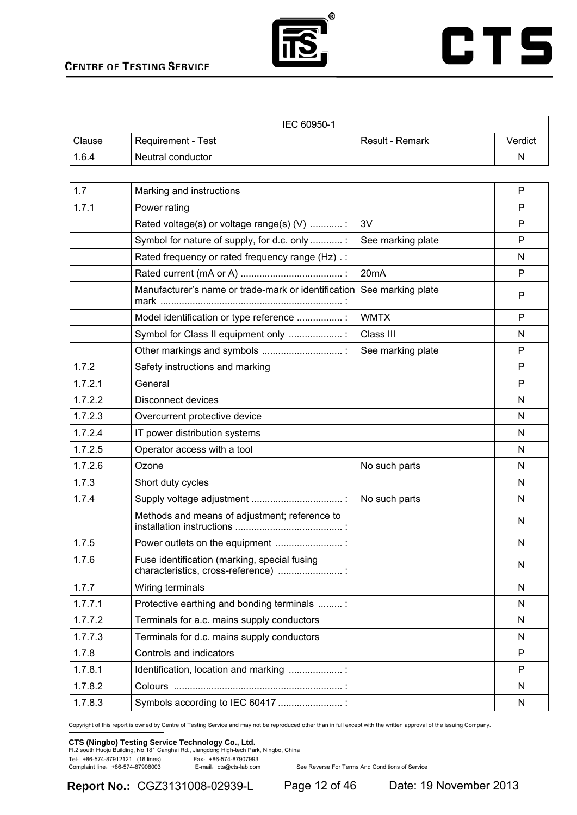

## **CTS**

| IEC 60950-1 |                    |                 |         |
|-------------|--------------------|-----------------|---------|
| Clause      | Requirement - Test | Result - Remark | Verdict |
| 1.6.4       | Neutral conductor  |                 | N       |

| 1.7     | Marking and instructions                                                             |                   | P |
|---------|--------------------------------------------------------------------------------------|-------------------|---|
| 1.7.1   | Power rating                                                                         |                   | P |
|         | Rated voltage(s) or voltage range(s) (V) :                                           | 3V                | P |
|         | Symbol for nature of supply, for d.c. only                                           | See marking plate | P |
|         | Rated frequency or rated frequency range (Hz) .:                                     |                   | N |
|         |                                                                                      | 20 <sub>m</sub> A | P |
|         | Manufacturer's name or trade-mark or identification                                  | See marking plate | P |
|         | Model identification or type reference :                                             | <b>WMTX</b>       | P |
|         | Symbol for Class II equipment only :                                                 | Class III         | N |
|         | Other markings and symbols                                                           | See marking plate | P |
| 1.7.2   | Safety instructions and marking                                                      |                   | P |
| 1.7.2.1 | General                                                                              |                   | P |
| 1.7.2.2 | <b>Disconnect devices</b>                                                            |                   | N |
| 1.7.2.3 | Overcurrent protective device                                                        |                   | N |
| 1.7.2.4 | IT power distribution systems                                                        |                   | N |
| 1.7.2.5 | Operator access with a tool                                                          |                   | N |
| 1.7.2.6 | Ozone                                                                                | No such parts     | N |
| 1.7.3   | Short duty cycles                                                                    |                   | N |
| 1.7.4   |                                                                                      | No such parts     | N |
|         | Methods and means of adjustment; reference to                                        |                   | N |
| 1.7.5   | Power outlets on the equipment                                                       |                   | N |
| 1.7.6   | Fuse identification (marking, special fusing<br>characteristics, cross-reference)  : |                   | N |
| 1.7.7   | Wiring terminals                                                                     |                   | N |
| 1.7.7.1 | Protective earthing and bonding terminals                                            |                   | N |
| 1.7.7.2 | Terminals for a.c. mains supply conductors                                           |                   | N |
| 1.7.7.3 | Terminals for d.c. mains supply conductors                                           |                   | N |
| 1.7.8   | Controls and indicators                                                              |                   | P |
| 1.7.8.1 | Identification, location and marking                                                 |                   | P |
| 1.7.8.2 |                                                                                      |                   | N |
| 1.7.8.3 | Symbols according to IEC 60417                                                       |                   | N |

Copyright of this report is owned by Centre of Testing Service and may not be reproduced other than in full except with the written approval of the issuing Company.

### **CTS (Ningbo) Testing Service Technology Co., Ltd.**<br>Fl.2 south Huoju Building, No.181 Canghai Rd., Jiangdong High-tech Park, Ningbo, China

Tel: +86-574-87912121 (16 lines)<br>Complaint line: +86-574-87908003 E-mail: cts@cts-lab.com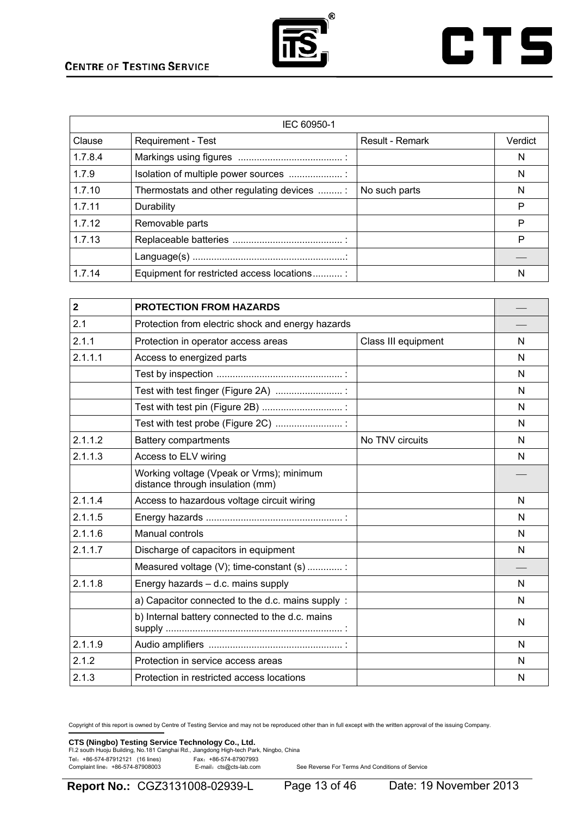

## **CTS**

| IEC 60950-1 |                                           |                 |         |
|-------------|-------------------------------------------|-----------------|---------|
| Clause      | <b>Requirement - Test</b>                 | Result - Remark | Verdict |
| 1.7.8.4     |                                           |                 | N       |
| 1.7.9       |                                           |                 | N       |
| 1.7.10      | Thermostats and other regulating devices  | No such parts   | N       |
| 1.7.11      | Durability                                |                 | P       |
| 1.7.12      | Removable parts                           |                 | P       |
| 1.7.13      |                                           |                 | P       |
|             |                                           |                 |         |
| 1.7.14      | Equipment for restricted access locations |                 | N       |

| $\overline{2}$ | <b>PROTECTION FROM HAZARDS</b>                                               |                     |   |
|----------------|------------------------------------------------------------------------------|---------------------|---|
| 2.1            | Protection from electric shock and energy hazards                            |                     |   |
| 2.1.1          | Protection in operator access areas                                          | Class III equipment | N |
| 2.1.1.1        | Access to energized parts                                                    |                     | N |
|                |                                                                              |                     | N |
|                | Test with test finger (Figure 2A)  :                                         |                     | N |
|                |                                                                              |                     | N |
|                | Test with test probe (Figure 2C)                                             |                     | N |
| 2.1.1.2        | <b>Battery compartments</b>                                                  | No TNV circuits     | N |
| 2.1.1.3        | Access to ELV wiring                                                         |                     | N |
|                | Working voltage (Vpeak or Vrms); minimum<br>distance through insulation (mm) |                     |   |
| 2.1.1.4        | Access to hazardous voltage circuit wiring                                   |                     | N |
| 2.1.1.5        |                                                                              |                     | N |
| 2.1.1.6        | Manual controls                                                              |                     | N |
| 2.1.1.7        | Discharge of capacitors in equipment                                         |                     | N |
|                | Measured voltage (V); time-constant (s)                                      |                     |   |
| 2.1.1.8        | Energy hazards - d.c. mains supply                                           |                     | N |
|                | a) Capacitor connected to the d.c. mains supply :                            |                     | N |
|                | b) Internal battery connected to the d.c. mains                              |                     | N |
| 2.1.1.9        |                                                                              |                     | N |
| 2.1.2          | Protection in service access areas                                           |                     | N |
| 2.1.3          | Protection in restricted access locations                                    |                     | N |

Copyright of this report is owned by Centre of Testing Service and may not be reproduced other than in full except with the written approval of the issuing Company.

**CTS (Ningbo) Testing Service Technology Co., Ltd.**<br>Fl.2 south Huoju Building, No.181 Canghai Rd., Jiangdong High-tech Park, Ningbo, China Tel: +86-574-87912121 (16 lines)<br>Complaint line: +86-574-87908003 E-mail: cts@cts-lab.com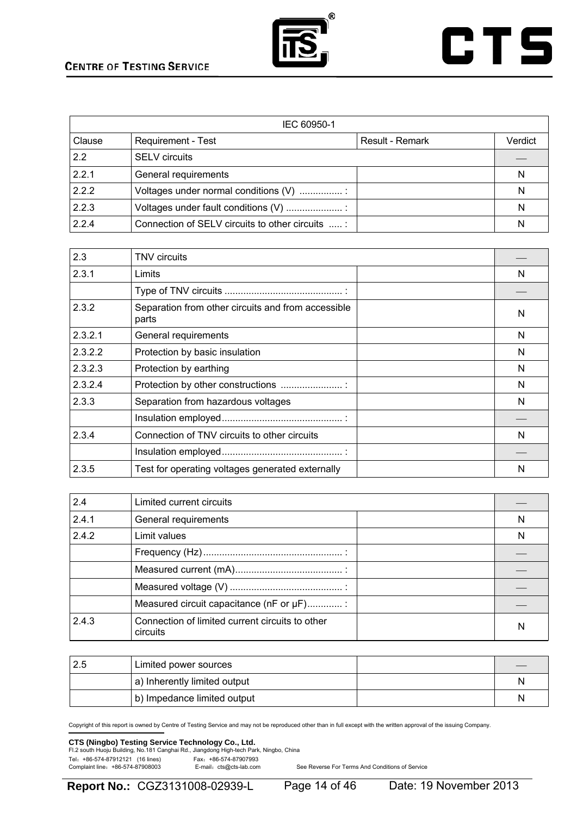



| IEC 60950-1 |                                                  |                 |         |
|-------------|--------------------------------------------------|-----------------|---------|
| Clause      | <b>Requirement - Test</b>                        | Result - Remark | Verdict |
| 2.2         | <b>SELV</b> circuits                             |                 |         |
| 2.2.1       | General requirements                             |                 | N       |
| 2.2.2       | Voltages under normal conditions (V)             |                 | N       |
| 2.2.3       | Voltages under fault conditions (V)              |                 | N       |
| 2.2.4       | Connection of SELV circuits to other circuits  : |                 | N       |

| 2.3     | <b>TNV</b> circuits                                         |   |
|---------|-------------------------------------------------------------|---|
| 2.3.1   | Limits                                                      | N |
|         |                                                             |   |
| 2.3.2   | Separation from other circuits and from accessible<br>parts | N |
| 2.3.2.1 | General requirements                                        | N |
| 2.3.2.2 | Protection by basic insulation                              | N |
| 2.3.2.3 | Protection by earthing                                      | N |
| 2.3.2.4 | Protection by other constructions                           | N |
| 2.3.3   | Separation from hazardous voltages                          | N |
|         |                                                             |   |
| 2.3.4   | Connection of TNV circuits to other circuits                | N |
|         |                                                             |   |
| 2.3.5   | Test for operating voltages generated externally            | N |

| 2.4   | Limited current circuits                                    |   |
|-------|-------------------------------------------------------------|---|
| 2.4.1 | General requirements                                        | N |
| 2.4.2 | Limit values                                                | N |
|       |                                                             |   |
|       |                                                             |   |
|       |                                                             |   |
|       | Measured circuit capacitance (nF or µF)                     |   |
| 2.4.3 | Connection of limited current circuits to other<br>circuits | N |

| Limited power sources        |   |
|------------------------------|---|
| a) Inherently limited output | N |
| b) Impedance limited output  | N |

Copyright of this report is owned by Centre of Testing Service and may not be reproduced other than in full except with the written approval of the issuing Company.

### **CTS (Ningbo) Testing Service Technology Co., Ltd.**<br>Fl.2 south Huoju Building, No.181 Canghai Rd., Jiangdong High-tech Park, Ningbo, China

Tel: +86-574-87912121 (16 lines)<br>Complaint line: +86-574-87908003 E-mail: cts@cts-lab.com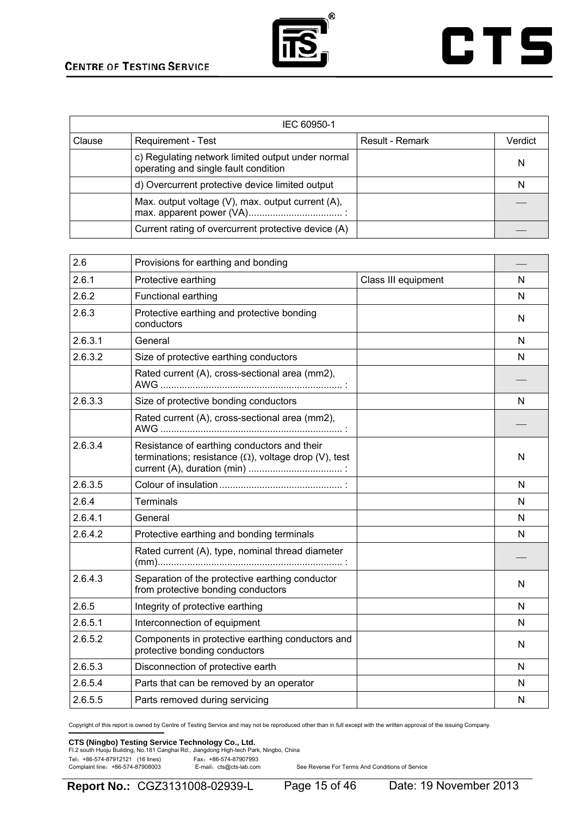

## **CTS**

| IEC 60950-1 |                                                                                           |                 |         |
|-------------|-------------------------------------------------------------------------------------------|-----------------|---------|
| Clause      | <b>Requirement - Test</b>                                                                 | Result - Remark | Verdict |
|             | c) Regulating network limited output under normal<br>operating and single fault condition |                 | N       |
|             | d) Overcurrent protective device limited output                                           |                 | N       |
|             | Max. output voltage (V), max. output current (A),                                         |                 |         |
|             | Current rating of overcurrent protective device (A)                                       |                 |         |

| 2.6     | Provisions for earthing and bonding                                                                         |                     |   |
|---------|-------------------------------------------------------------------------------------------------------------|---------------------|---|
| 2.6.1   | Protective earthing                                                                                         | Class III equipment | N |
| 2.6.2   | Functional earthing                                                                                         |                     | N |
| 2.6.3   | Protective earthing and protective bonding<br>conductors                                                    |                     | N |
| 2.6.3.1 | General                                                                                                     |                     | N |
| 2.6.3.2 | Size of protective earthing conductors                                                                      |                     | N |
|         | Rated current (A), cross-sectional area (mm2),                                                              |                     |   |
| 2.6.3.3 | Size of protective bonding conductors                                                                       |                     | N |
|         | Rated current (A), cross-sectional area (mm2),                                                              |                     |   |
| 2.6.3.4 | Resistance of earthing conductors and their<br>terminations; resistance $(\Omega)$ , voltage drop (V), test |                     | N |
| 2.6.3.5 |                                                                                                             |                     | N |
| 2.6.4   | <b>Terminals</b>                                                                                            |                     | N |
| 2.6.4.1 | General                                                                                                     |                     | N |
| 2.6.4.2 | Protective earthing and bonding terminals                                                                   |                     | N |
|         | Rated current (A), type, nominal thread diameter                                                            |                     |   |
| 2.6.4.3 | Separation of the protective earthing conductor<br>from protective bonding conductors                       |                     | N |
| 2.6.5   | Integrity of protective earthing                                                                            |                     | N |
| 2.6.5.1 | Interconnection of equipment                                                                                |                     | N |
| 2.6.5.2 | Components in protective earthing conductors and<br>protective bonding conductors                           |                     | N |
| 2.6.5.3 | Disconnection of protective earth                                                                           |                     | N |
| 2.6.5.4 | Parts that can be removed by an operator                                                                    |                     | N |
| 2.6.5.5 | Parts removed during servicing                                                                              |                     | N |

Copyright of this report is owned by Centre of Testing Service and may not be reproduced other than in full except with the written approval of the issuing Company.

### **CTS (Ningbo) Testing Service Technology Co., Ltd.**<br>Fl.2 south Huoju Building, No.181 Canghai Rd., Jiangdong High-tech Park, Ningbo, China

Tel: +86-574-87912121 (16 lines)<br>Complaint line: +86-574-87908003 E-mail: cts@cts-lab.com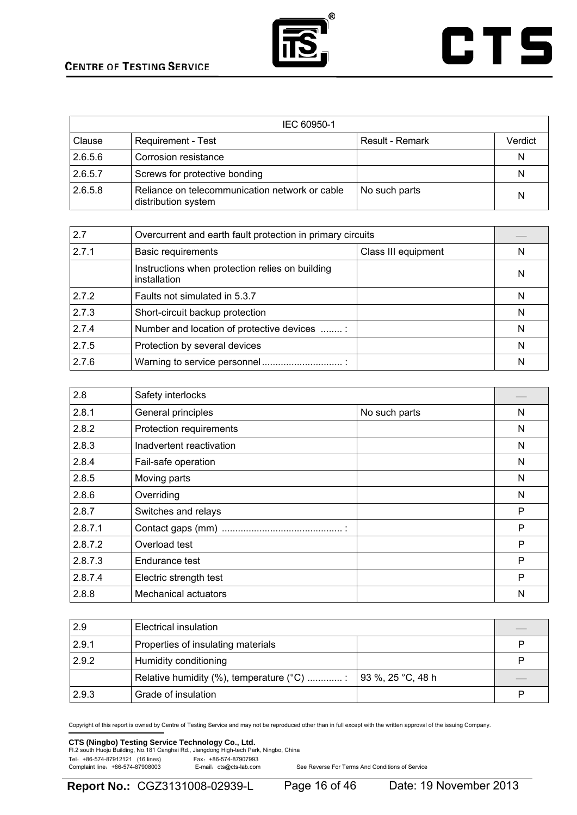

## **CTS**

| IEC 60950-1 |                                                                       |                 |         |
|-------------|-----------------------------------------------------------------------|-----------------|---------|
| Clause      | Requirement - Test                                                    | Result - Remark | Verdict |
| 2.6.5.6     | Corrosion resistance                                                  |                 | N       |
| 2.6.5.7     | Screws for protective bonding                                         |                 | N       |
| 2.6.5.8     | Reliance on telecommunication network or cable<br>distribution system | No such parts   | N       |

| 2.7   | Overcurrent and earth fault protection in primary circuits      |                     |   |
|-------|-----------------------------------------------------------------|---------------------|---|
| 2.7.1 | <b>Basic requirements</b>                                       | Class III equipment | N |
|       | Instructions when protection relies on building<br>installation |                     | N |
| 2.7.2 | Faults not simulated in 5.3.7                                   |                     | N |
| 2.7.3 | Short-circuit backup protection                                 |                     | N |
| 2.7.4 | Number and location of protective devices :                     |                     | N |
| 2.7.5 | Protection by several devices                                   |                     | N |
| 2.7.6 |                                                                 |                     | N |

| 2.8     | Safety interlocks           |               |   |
|---------|-----------------------------|---------------|---|
| 2.8.1   | General principles          | No such parts | N |
| 2.8.2   | Protection requirements     |               | N |
| 2.8.3   | Inadvertent reactivation    |               | N |
| 2.8.4   | Fail-safe operation         |               | N |
| 2.8.5   | Moving parts                |               | N |
| 2.8.6   | Overriding                  |               | N |
| 2.8.7   | Switches and relays         |               | P |
| 2.8.7.1 |                             |               | P |
| 2.8.7.2 | Overload test               |               | P |
| 2.8.7.3 | Endurance test              |               | P |
| 2.8.7.4 | Electric strength test      |               | P |
| 2.8.8   | <b>Mechanical actuators</b> |               | N |

| 2.9   | Electrical insulation                   |                           |  |
|-------|-----------------------------------------|---------------------------|--|
| 2.9.1 | Properties of insulating materials      |                           |  |
| 2.9.2 | Humidity conditioning                   |                           |  |
|       | Relative humidity (%), temperature (°C) | $\vert$ 93 %, 25 °C, 48 h |  |
| 2.9.3 | Grade of insulation                     |                           |  |

Copyright of this report is owned by Centre of Testing Service and may not be reproduced other than in full except with the written approval of the issuing Company.

## **CTS (Ningbo) Testing Service Technology Co., Ltd.**<br>Fl.2 south Huoju Building, No.181 Canghai Rd., Jiangdong High-tech Park, Ningbo, China

Tel: +86-574-87912121 (16 lines)<br>Complaint line: +86-574-87908003 E-mail: cts@cts-lab.com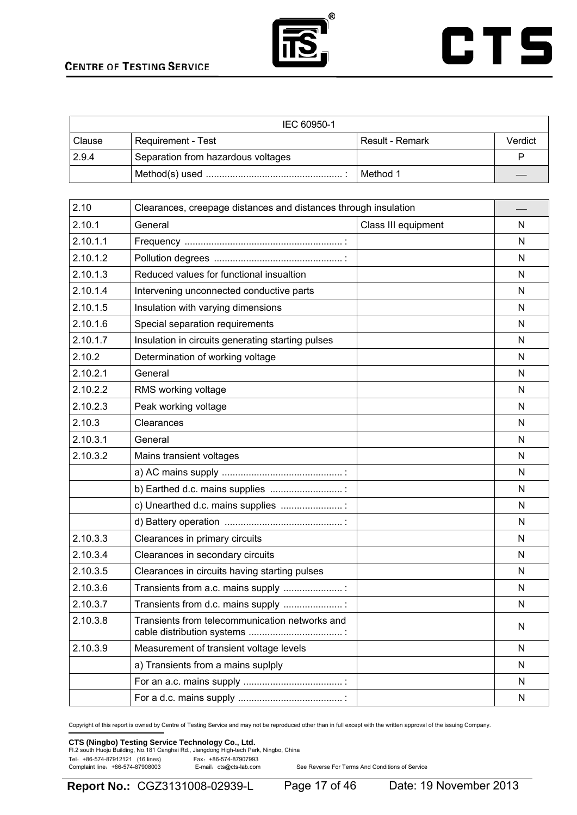



| IEC 60950-1 |                                    |                 |         |
|-------------|------------------------------------|-----------------|---------|
| Clause      | <b>Requirement - Test</b>          | Result - Remark | Verdict |
| 2.9.4       | Separation from hazardous voltages |                 |         |
|             |                                    | I Method 1      |         |

| 2.10     | Clearances, creepage distances and distances through insulation              |                     |              |
|----------|------------------------------------------------------------------------------|---------------------|--------------|
| 2.10.1   | General                                                                      | Class III equipment | N            |
| 2.10.1.1 |                                                                              |                     | N            |
| 2.10.1.2 |                                                                              |                     | N            |
| 2.10.1.3 | Reduced values for functional insualtion                                     |                     | N            |
| 2.10.1.4 | Intervening unconnected conductive parts                                     |                     | N            |
| 2.10.1.5 | Insulation with varying dimensions                                           |                     | N            |
| 2.10.1.6 | Special separation requirements                                              |                     | N            |
| 2.10.1.7 | Insulation in circuits generating starting pulses                            |                     | N            |
| 2.10.2   | Determination of working voltage                                             |                     | N            |
| 2.10.2.1 | General                                                                      |                     | N            |
| 2.10.2.2 | RMS working voltage                                                          |                     | N            |
| 2.10.2.3 | Peak working voltage                                                         |                     | N            |
| 2.10.3   | Clearances                                                                   |                     | N            |
| 2.10.3.1 | General                                                                      |                     | N            |
| 2.10.3.2 | Mains transient voltages                                                     |                     | N            |
|          |                                                                              |                     | N            |
|          | b) Earthed d.c. mains supplies                                               |                     | N            |
|          | c) Unearthed d.c. mains supplies :                                           |                     | N            |
|          |                                                                              |                     | N            |
| 2.10.3.3 | Clearances in primary circuits                                               |                     | N            |
| 2.10.3.4 | Clearances in secondary circuits                                             |                     | N            |
| 2.10.3.5 | Clearances in circuits having starting pulses                                |                     | N            |
| 2.10.3.6 | Transients from a.c. mains supply                                            |                     | N            |
| 2.10.3.7 | Transients from d.c. mains supply                                            |                     | N            |
| 2.10.3.8 | Transients from telecommunication networks and<br>cable distribution systems |                     | N            |
| 2.10.3.9 | Measurement of transient voltage levels                                      |                     | N            |
|          | a) Transients from a mains suplply                                           |                     | N            |
|          |                                                                              |                     | N            |
|          |                                                                              |                     | $\mathsf{N}$ |

Copyright of this report is owned by Centre of Testing Service and may not be reproduced other than in full except with the written approval of the issuing Company.

### **CTS (Ningbo) Testing Service Technology Co., Ltd.**<br>Fl.2 south Huoju Building, No.181 Canghai Rd., Jiangdong High-tech Park, Ningbo, China

Tel: +86-574-87912121 (16 lines)<br>Complaint line: +86-574-87908003 E-mail: cts@cts-lab.com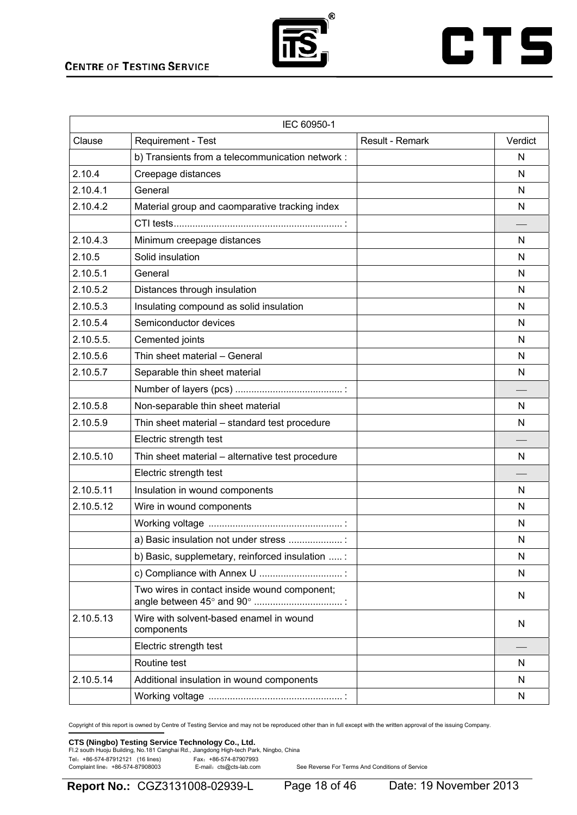

## **CTS**

| IEC 60950-1 |                                                       |                 |         |
|-------------|-------------------------------------------------------|-----------------|---------|
| Clause      | Requirement - Test                                    | Result - Remark | Verdict |
|             | b) Transients from a telecommunication network :      |                 | N       |
| 2.10.4      | Creepage distances                                    |                 | N       |
| 2.10.4.1    | General                                               |                 | N       |
| 2.10.4.2    | Material group and caomparative tracking index        |                 | N       |
|             |                                                       |                 |         |
| 2.10.4.3    | Minimum creepage distances                            |                 | N       |
| 2.10.5      | Solid insulation                                      |                 | N       |
| 2.10.5.1    | General                                               |                 | N       |
| 2.10.5.2    | Distances through insulation                          |                 | N       |
| 2.10.5.3    | Insulating compound as solid insulation               |                 | N       |
| 2.10.5.4    | Semiconductor devices                                 |                 | N       |
| 2.10.5.5.   | Cemented joints                                       |                 | N       |
| 2.10.5.6    | Thin sheet material - General                         |                 | N       |
| 2.10.5.7    | Separable thin sheet material                         |                 | N       |
|             |                                                       |                 |         |
| 2.10.5.8    | Non-separable thin sheet material                     |                 | N       |
| 2.10.5.9    | Thin sheet material - standard test procedure         |                 | N       |
|             | Electric strength test                                |                 |         |
| 2.10.5.10   | Thin sheet material - alternative test procedure      |                 | N       |
|             | Electric strength test                                |                 |         |
| 2.10.5.11   | Insulation in wound components                        |                 | N       |
| 2.10.5.12   | Wire in wound components                              |                 | N       |
|             |                                                       |                 | N       |
|             | a) Basic insulation not under stress                  |                 | N       |
|             | b) Basic, supplemetary, reinforced insulation  :      |                 | N       |
|             | c) Compliance with Annex U                            |                 | N       |
|             | Two wires in contact inside wound component;          |                 | N       |
| 2.10.5.13   | Wire with solvent-based enamel in wound<br>components |                 | N       |
|             | Electric strength test                                |                 |         |
|             | Routine test                                          |                 | N       |
| 2.10.5.14   | Additional insulation in wound components             |                 | N       |
|             |                                                       |                 | N       |

Copyright of this report is owned by Centre of Testing Service and may not be reproduced other than in full except with the written approval of the issuing Company.

### **CTS (Ningbo) Testing Service Technology Co., Ltd.**<br>Fl.2 south Huoju Building, No.181 Canghai Rd., Jiangdong High-tech Park, Ningbo, China

Tel: +86-574-87912121 (16 lines)<br>Complaint line: +86-574-87908003 E-mail: cts@cts-lab.com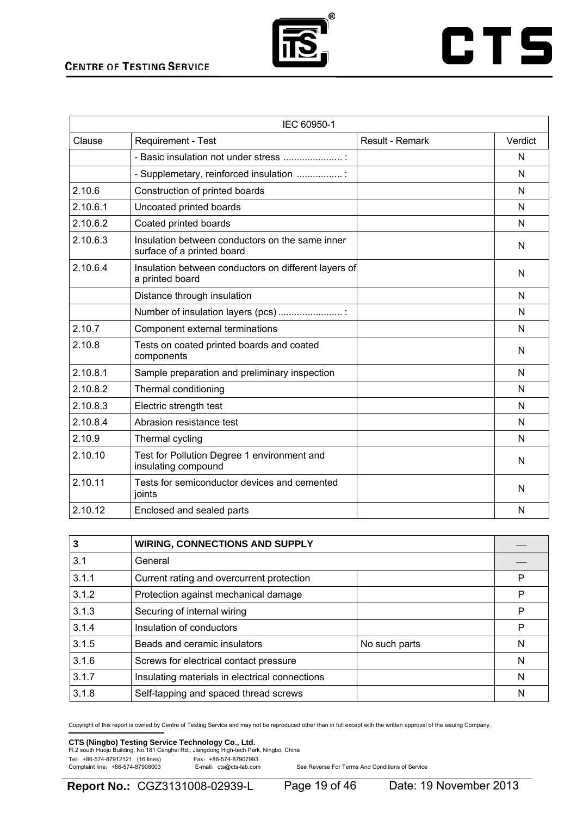

## **CTS**

|          | IEC 60950-1                                                                   |                 |         |
|----------|-------------------------------------------------------------------------------|-----------------|---------|
| Clause   | Requirement - Test                                                            | Result - Remark | Verdict |
|          | - Basic insulation not under stress                                           |                 | N       |
|          | - Supplemetary, reinforced insulation                                         |                 | N       |
| 2.10.6   | Construction of printed boards                                                |                 | N       |
| 2.10.6.1 | Uncoated printed boards                                                       |                 | N       |
| 2.10.6.2 | Coated printed boards                                                         |                 | N       |
| 2.10.6.3 | Insulation between conductors on the same inner<br>surface of a printed board |                 | N       |
| 2.10.6.4 | Insulation between conductors on different layers of<br>a printed board       |                 | N       |
|          | Distance through insulation                                                   |                 | N       |
|          | Number of insulation layers (pcs)                                             |                 | N       |
| 2.10.7   | Component external terminations                                               |                 | N       |
| 2.10.8   | Tests on coated printed boards and coated<br>components                       |                 | N       |
| 2.10.8.1 | Sample preparation and preliminary inspection                                 |                 | N       |
| 2.10.8.2 | Thermal conditioning                                                          |                 | N       |
| 2.10.8.3 | Electric strength test                                                        |                 | N       |
| 2.10.8.4 | Abrasion resistance test                                                      |                 | N       |
| 2.10.9   | Thermal cycling                                                               |                 | N       |
| 2.10.10  | Test for Pollution Degree 1 environment and<br>insulating compound            |                 | N       |
| 2.10.11  | Tests for semiconductor devices and cemented<br>joints                        |                 | N       |
| 2.10.12  | Enclosed and sealed parts                                                     |                 | N       |

| 3     | <b>WIRING, CONNECTIONS AND SUPPLY</b>          |   |
|-------|------------------------------------------------|---|
| 3.1   | General                                        |   |
| 3.1.1 | Current rating and overcurrent protection      | P |
| 3.1.2 | Protection against mechanical damage           | P |
| 3.1.3 | Securing of internal wiring                    | P |
| 3.1.4 | Insulation of conductors                       | P |
| 3.1.5 | Beads and ceramic insulators<br>No such parts  | N |
| 3.1.6 | Screws for electrical contact pressure         | N |
| 3.1.7 | Insulating materials in electrical connections | N |
| 3.1.8 | Self-tapping and spaced thread screws          | N |

Copyright of this report is owned by Centre of Testing Service and may not be reproduced other than in full except with the written approval of the issuing Company.

### **CTS (Ningbo) Testing Service Technology Co., Ltd.**<br>Fl.2 south Huoju Building, No.181 Canghai Rd., Jiangdong High-tech Park, Ningbo, China

Tel: +86-574-87912121 (16 lines)<br>Complaint line: +86-574-87908003 E-mail: cts@cts-lab.com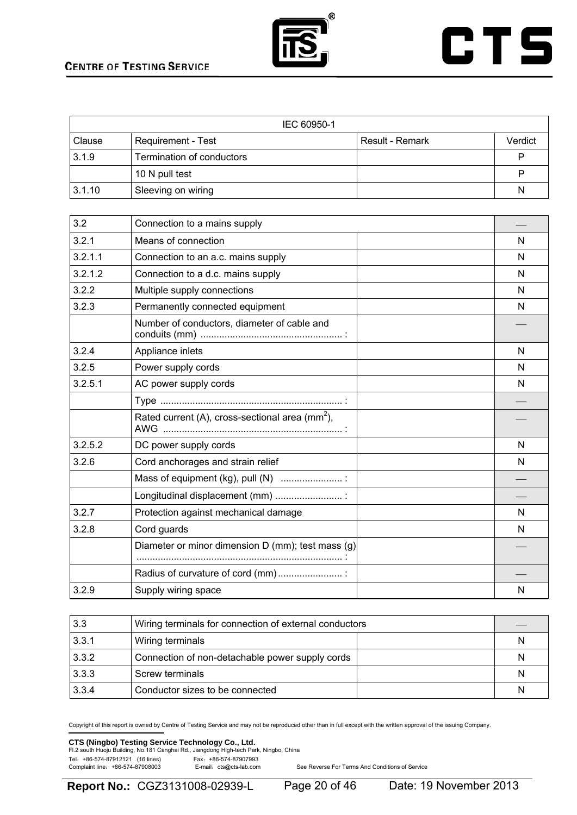

## **CTS**

| IEC 60950-1   |                           |                 |         |
|---------------|---------------------------|-----------------|---------|
| <b>Clause</b> | Requirement - Test        | Result - Remark | Verdict |
| 3.1.9         | Termination of conductors |                 |         |
|               | 10 N pull test            |                 |         |
| 3.1.10        | Sleeving on wiring        |                 | N       |

| 3.2     | Connection to a mains supply                                |   |
|---------|-------------------------------------------------------------|---|
| 3.2.1   | Means of connection                                         | N |
| 3.2.1.1 | Connection to an a.c. mains supply                          | N |
| 3.2.1.2 | Connection to a d.c. mains supply                           | N |
| 3.2.2   | Multiple supply connections                                 | N |
| 3.2.3   | Permanently connected equipment                             | N |
|         | Number of conductors, diameter of cable and                 |   |
| 3.2.4   | Appliance inlets                                            | N |
| 3.2.5   | Power supply cords                                          | N |
| 3.2.5.1 | AC power supply cords                                       | N |
|         |                                                             |   |
|         | Rated current (A), cross-sectional area (mm <sup>2</sup> ), |   |
| 3.2.5.2 | DC power supply cords                                       | N |
| 3.2.6   | Cord anchorages and strain relief                           | N |
|         | Mass of equipment (kg), pull (N)                            |   |
|         | Longitudinal displacement (mm)                              |   |
| 3.2.7   | Protection against mechanical damage                        | N |
| 3.2.8   | Cord guards                                                 | N |
|         | Diameter or minor dimension D (mm); test mass (g)           |   |
|         |                                                             |   |
|         | Radius of curvature of cord (mm)                            |   |
| 3.2.9   | Supply wiring space                                         | N |

| 3.3   | Wiring terminals for connection of external conductors |   |
|-------|--------------------------------------------------------|---|
| 3.3.1 | Wiring terminals                                       | N |
| 3.3.2 | Connection of non-detachable power supply cords        | N |
| 3.3.3 | Screw terminals                                        | N |
| 3.3.4 | Conductor sizes to be connected                        | N |

Copyright of this report is owned by Centre of Testing Service and may not be reproduced other than in full except with the written approval of the issuing Company.

### **CTS (Ningbo) Testing Service Technology Co., Ltd.**<br>Fl.2 south Huoju Building, No.181 Canghai Rd., Jiangdong High-tech Park, Ningbo, China

Tel: +86-574-87912121 (16 lines)<br>Complaint line: +86-574-87908003 E-mail: cts@cts-lab.com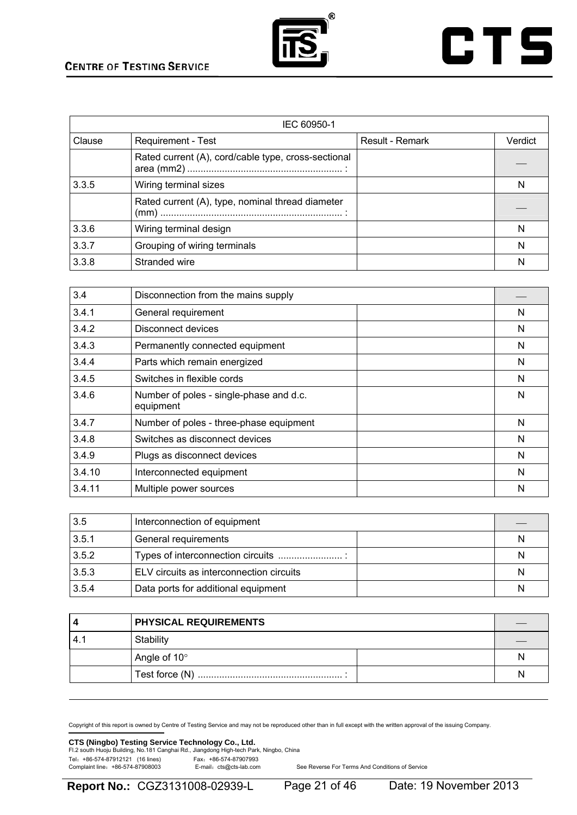

## **CTS**

| IEC 60950-1 |                                                     |                 |         |
|-------------|-----------------------------------------------------|-----------------|---------|
| Clause      | Requirement - Test                                  | Result - Remark | Verdict |
|             | Rated current (A), cord/cable type, cross-sectional |                 |         |
| 3.3.5       | Wiring terminal sizes                               |                 | N       |
|             | Rated current (A), type, nominal thread diameter    |                 |         |
| 3.3.6       | Wiring terminal design                              |                 | N       |
| 3.3.7       | Grouping of wiring terminals                        |                 | N       |
| 3.3.8       | Stranded wire                                       |                 | N       |

| 3.4    | Disconnection from the mains supply                  |   |
|--------|------------------------------------------------------|---|
| 3.4.1  | General requirement                                  | N |
| 3.4.2  | Disconnect devices                                   | N |
| 3.4.3  | Permanently connected equipment                      | N |
| 3.4.4  | Parts which remain energized                         | N |
| 3.4.5  | Switches in flexible cords                           | N |
| 3.4.6  | Number of poles - single-phase and d.c.<br>equipment | N |
| 3.4.7  | Number of poles - three-phase equipment              | N |
| 3.4.8  | Switches as disconnect devices                       | N |
| 3.4.9  | Plugs as disconnect devices                          | N |
| 3.4.10 | Interconnected equipment                             | N |
| 3.4.11 | Multiple power sources                               | N |

| 3.5   | Interconnection of equipment             |   |
|-------|------------------------------------------|---|
| 3.5.1 | General requirements                     | N |
| 3.5.2 |                                          | N |
| 3.5.3 | ELV circuits as interconnection circuits | N |
| 3.5.4 | Data ports for additional equipment      | N |

|    | <b>PHYSICAL REQUIREMENTS</b> |   |
|----|------------------------------|---|
| 4. | Stability                    |   |
|    | Angle of 10°                 | N |
|    |                              | N |

Copyright of this report is owned by Centre of Testing Service and may not be reproduced other than in full except with the written approval of the issuing Company.

### **CTS (Ningbo) Testing Service Technology Co., Ltd.**<br>Fl.2 south Huoju Building, No.181 Canghai Rd., Jiangdong High-tech Park, Ningbo, China

Tel: +86-574-87912121 (16 lines)<br>Complaint line: +86-574-87908003 E-mail: cts@cts-lab.com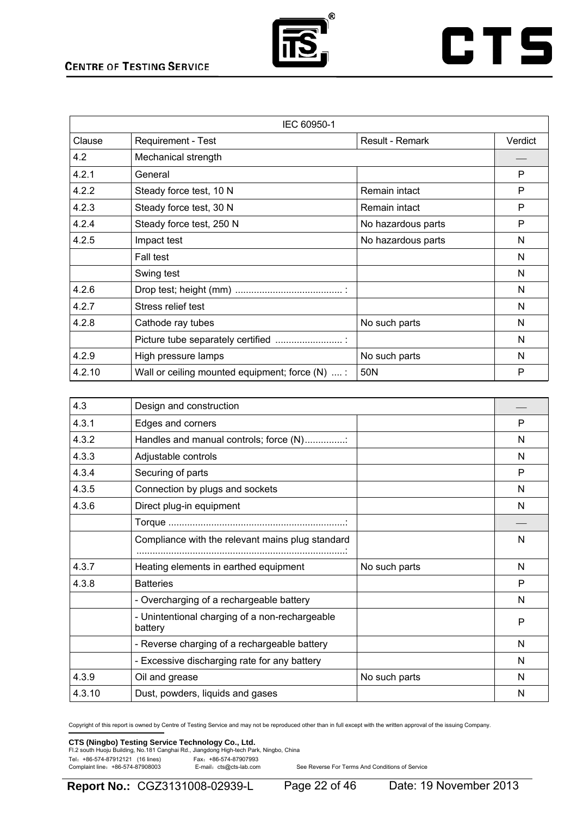

## **CTS**

| IEC 60950-1 |                                                  |                    |         |  |
|-------------|--------------------------------------------------|--------------------|---------|--|
| Clause      | Requirement - Test                               | Result - Remark    | Verdict |  |
| 4.2         | Mechanical strength                              |                    |         |  |
| 4.2.1       | General                                          |                    | P       |  |
| 4.2.2       | Steady force test, 10 N                          | Remain intact      | P       |  |
| 4.2.3       | Steady force test, 30 N                          | Remain intact      | P       |  |
| 4.2.4       | Steady force test, 250 N                         | No hazardous parts | P       |  |
| 4.2.5       | Impact test                                      | No hazardous parts | N       |  |
|             | Fall test                                        |                    | N       |  |
|             | Swing test                                       |                    | N       |  |
| 4.2.6       |                                                  |                    | N       |  |
| 4.2.7       | Stress relief test                               |                    | N       |  |
| 4.2.8       | Cathode ray tubes                                | No such parts      | N       |  |
|             | Picture tube separately certified                |                    | N       |  |
| 4.2.9       | High pressure lamps                              | No such parts      | N       |  |
| 4.2.10      | Wall or ceiling mounted equipment; force $(N)$ : | 50N                | P       |  |

| 4.3    | Design and construction                                   |               |   |
|--------|-----------------------------------------------------------|---------------|---|
| 4.3.1  | Edges and corners                                         |               | P |
| 4.3.2  | Handles and manual controls; force (N)                    |               | N |
| 4.3.3  | Adjustable controls                                       |               | N |
| 4.3.4  | Securing of parts                                         |               | P |
| 4.3.5  | Connection by plugs and sockets                           |               | N |
| 4.3.6  | Direct plug-in equipment                                  |               | N |
|        |                                                           |               |   |
|        | Compliance with the relevant mains plug standard          |               | N |
| 4.3.7  | Heating elements in earthed equipment                     | No such parts | N |
| 4.3.8  | <b>Batteries</b>                                          |               | P |
|        | - Overcharging of a rechargeable battery                  |               | N |
|        | - Unintentional charging of a non-rechargeable<br>battery |               | P |
|        | - Reverse charging of a rechargeable battery              |               | N |
|        | - Excessive discharging rate for any battery              |               | N |
| 4.3.9  | Oil and grease                                            | No such parts | N |
| 4.3.10 | Dust, powders, liquids and gases                          |               | N |

Copyright of this report is owned by Centre of Testing Service and may not be reproduced other than in full except with the written approval of the issuing Company.

### **CTS (Ningbo) Testing Service Technology Co., Ltd.**<br>Fl.2 south Huoju Building, No.181 Canghai Rd., Jiangdong High-tech Park, Ningbo, China

Tel: +86-574-87912121 (16 lines)<br>Complaint line: +86-574-87908003 E-mail: cts@cts-lab.com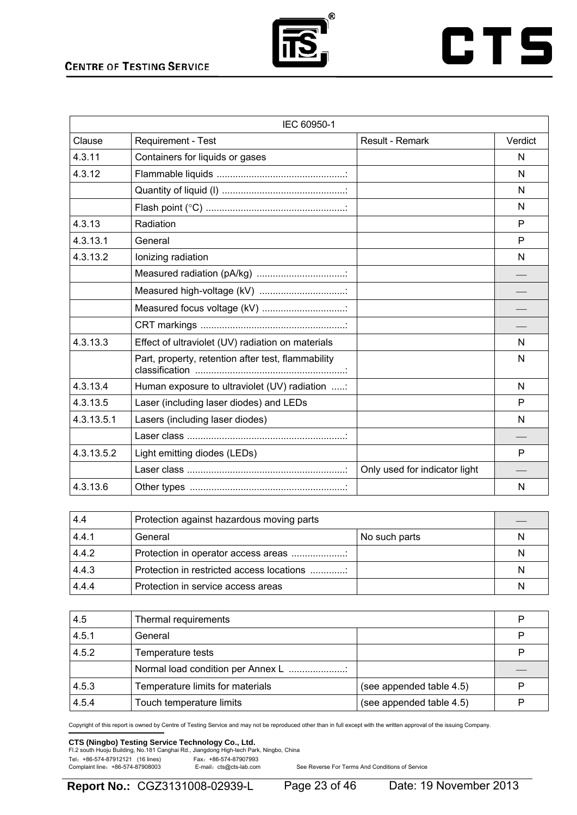

## **CTS**

|            | IEC 60950-1                                        |                               |         |
|------------|----------------------------------------------------|-------------------------------|---------|
| Clause     | Requirement - Test                                 | Result - Remark               | Verdict |
| 4.3.11     | Containers for liquids or gases                    |                               | N       |
| 4.3.12     |                                                    |                               | N       |
|            |                                                    |                               | N       |
|            |                                                    |                               | N       |
| 4.3.13     | Radiation                                          |                               | P       |
| 4.3.13.1   | General                                            |                               | P       |
| 4.3.13.2   | Ionizing radiation                                 |                               | N       |
|            |                                                    |                               |         |
|            | Measured high-voltage (kV)                         |                               |         |
|            | Measured focus voltage (kV)                        |                               |         |
|            |                                                    |                               |         |
| 4.3.13.3   | Effect of ultraviolet (UV) radiation on materials  |                               | N       |
|            | Part, property, retention after test, flammability |                               | N       |
| 4.3.13.4   | Human exposure to ultraviolet (UV) radiation :     |                               | N       |
| 4.3.13.5   | Laser (including laser diodes) and LEDs            |                               | P       |
| 4.3.13.5.1 | Lasers (including laser diodes)                    |                               | N       |
|            |                                                    |                               |         |
| 4.3.13.5.2 | Light emitting diodes (LEDs)                       |                               | P       |
|            |                                                    | Only used for indicator light |         |
| 4.3.13.6   |                                                    |                               | N       |

| 4.4   | Protection against hazardous moving parts |               |   |
|-------|-------------------------------------------|---------------|---|
| 4.4.1 | General                                   | No such parts | N |
| 4.4.2 | Protection in operator access areas       |               | N |
| 4.4.3 | Protection in restricted access locations |               | N |
| 4.4.4 | Protection in service access areas        |               | N |

| 4.5   | Thermal requirements              |                          | P |
|-------|-----------------------------------|--------------------------|---|
| 4.5.1 | General                           |                          | P |
| 4.5.2 | Temperature tests                 |                          | P |
|       | Normal load condition per Annex L |                          |   |
| 4.5.3 | Temperature limits for materials  | (see appended table 4.5) | P |
| 4.5.4 | Touch temperature limits          | (see appended table 4.5) | P |

Copyright of this report is owned by Centre of Testing Service and may not be reproduced other than in full except with the written approval of the issuing Company.

## **CTS (Ningbo) Testing Service Technology Co., Ltd.**<br>Fl.2 south Huoju Building, No.181 Canghai Rd., Jiangdong High-tech Park, Ningbo, China

Tel: +86-574-87912121 (16 lines)<br>Complaint line: +86-574-87908003 E-mail: cts@cts-lab.com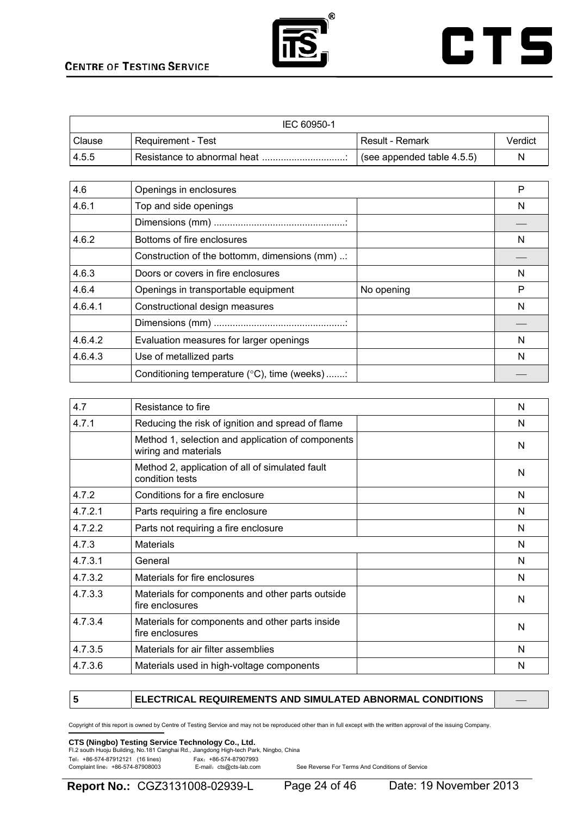



|        | IEC 60950-1                 |                            |         |
|--------|-----------------------------|----------------------------|---------|
| Clause | Requirement - Test          | Result - Remark            | Verdict |
| 14.5.5 | Resistance to abnormal heat | (see appended table 4.5.5) | N       |

| 4.6     | Openings in enclosures                         |            | P |
|---------|------------------------------------------------|------------|---|
| 4.6.1   | Top and side openings                          |            | N |
|         |                                                |            |   |
| 4.6.2   | Bottoms of fire enclosures                     |            | N |
|         | Construction of the bottomm, dimensions (mm) : |            |   |
| 4.6.3   | Doors or covers in fire enclosures             |            | N |
| 4.6.4   | Openings in transportable equipment            | No opening | Р |
| 4.6.4.1 | Constructional design measures                 |            | N |
|         |                                                |            |   |
| 4.6.4.2 | Evaluation measures for larger openings        |            | N |
| 4.6.4.3 | Use of metallized parts                        |            | N |
|         | Conditioning temperature (°C), time (weeks):   |            |   |

| 4.7     | Resistance to fire                                                        | N |
|---------|---------------------------------------------------------------------------|---|
| 4.7.1   | Reducing the risk of ignition and spread of flame                         | N |
|         | Method 1, selection and application of components<br>wiring and materials | N |
|         | Method 2, application of all of simulated fault<br>condition tests        | N |
| 4.7.2   | Conditions for a fire enclosure                                           | N |
| 4.7.2.1 | Parts requiring a fire enclosure                                          | N |
| 4.7.2.2 | Parts not requiring a fire enclosure                                      | N |
| 4.7.3   | <b>Materials</b>                                                          | N |
| 4.7.3.1 | General                                                                   | N |
| 4.7.3.2 | Materials for fire enclosures                                             | N |
| 4.7.3.3 | Materials for components and other parts outside<br>fire enclosures       | N |
| 4.7.3.4 | Materials for components and other parts inside<br>fire enclosures        | N |
| 4.7.3.5 | Materials for air filter assemblies                                       | N |
| 4.7.3.6 | Materials used in high-voltage components                                 | N |

#### **5** ELECTRICAL REQUIREMENTS AND SIMULATED ABNORMAL CONDITIONS

Copyright of this report is owned by Centre of Testing Service and may not be reproduced other than in full except with the written approval of the issuing Company.

### **CTS (Ningbo) Testing Service Technology Co., Ltd.**<br>Fl.2 south Huoju Building, No.181 Canghai Rd., Jiangdong High-tech Park, Ningbo, China

Tel: +86-574-87912121 (16 lines) Fax: +86-574-87907993<br>Complaint line: +86-574-87908003 E-mail: cts@cts-lab.com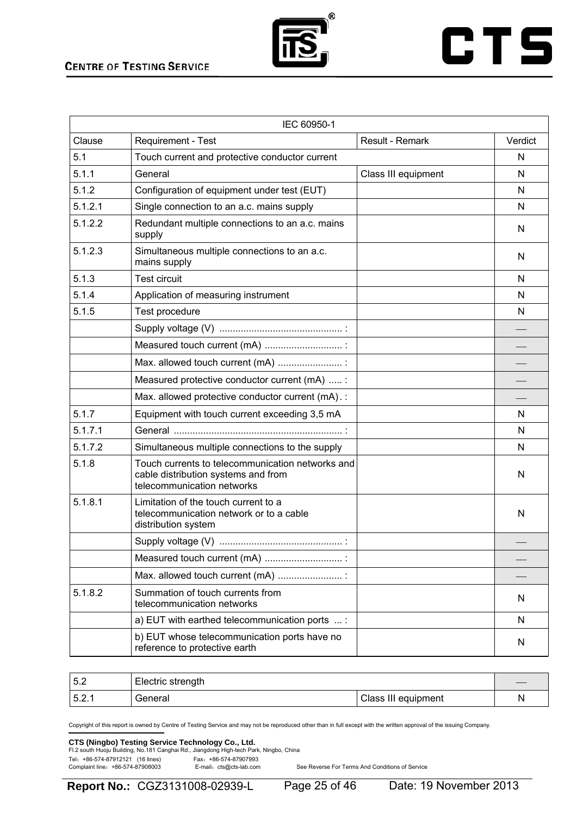

## **CTS**

|         | IEC 60950-1                                                                                                           |                     |         |
|---------|-----------------------------------------------------------------------------------------------------------------------|---------------------|---------|
| Clause  | Requirement - Test                                                                                                    | Result - Remark     | Verdict |
| 5.1     | Touch current and protective conductor current                                                                        |                     | N       |
| 5.1.1   | General                                                                                                               | Class III equipment | N       |
| 5.1.2   | Configuration of equipment under test (EUT)                                                                           |                     | N       |
| 5.1.2.1 | Single connection to an a.c. mains supply                                                                             |                     | N       |
| 5.1.2.2 | Redundant multiple connections to an a.c. mains<br>supply                                                             |                     | N       |
| 5.1.2.3 | Simultaneous multiple connections to an a.c.<br>mains supply                                                          |                     | N       |
| 5.1.3   | <b>Test circuit</b>                                                                                                   |                     | N       |
| 5.1.4   | Application of measuring instrument                                                                                   |                     | N       |
| 5.1.5   | Test procedure                                                                                                        |                     | N       |
|         |                                                                                                                       |                     |         |
|         | Measured touch current (mA)                                                                                           |                     |         |
|         | Max. allowed touch current (mA)                                                                                       |                     |         |
|         | Measured protective conductor current (mA)  :                                                                         |                     |         |
|         | Max. allowed protective conductor current (mA).:                                                                      |                     |         |
| 5.1.7   | Equipment with touch current exceeding 3,5 mA                                                                         |                     | N       |
| 5.1.7.1 |                                                                                                                       |                     | N       |
| 5.1.7.2 | Simultaneous multiple connections to the supply                                                                       |                     | N       |
| 5.1.8   | Touch currents to telecommunication networks and<br>cable distribution systems and from<br>telecommunication networks |                     | N       |
| 5.1.8.1 | Limitation of the touch current to a<br>telecommunication network or to a cable<br>distribution system                |                     | N       |
|         |                                                                                                                       |                     |         |
|         | Measured touch current (mA)                                                                                           |                     |         |
|         | Max. allowed touch current (mA)                                                                                       |                     |         |
| 5.1.8.2 | Summation of touch currents from<br>telecommunication networks                                                        |                     | N       |
|         | a) EUT with earthed telecommunication ports  :                                                                        |                     | N       |
|         | b) EUT whose telecommunication ports have no<br>reference to protective earth                                         |                     | N       |

| 5.2  | Electric strength |                     |  |
|------|-------------------|---------------------|--|
| 5.2. | General           | Class III equipment |  |

Copyright of this report is owned by Centre of Testing Service and may not be reproduced other than in full except with the written approval of the issuing Company.

### **CTS (Ningbo) Testing Service Technology Co., Ltd.**<br>Fl.2 south Huoju Building, No.181 Canghai Rd., Jiangdong High-tech Park, Ningbo, China

Tel: +86-574-87912121 (16 lines)<br>Complaint line: +86-574-87908003 E-mail: cts@cts-lab.com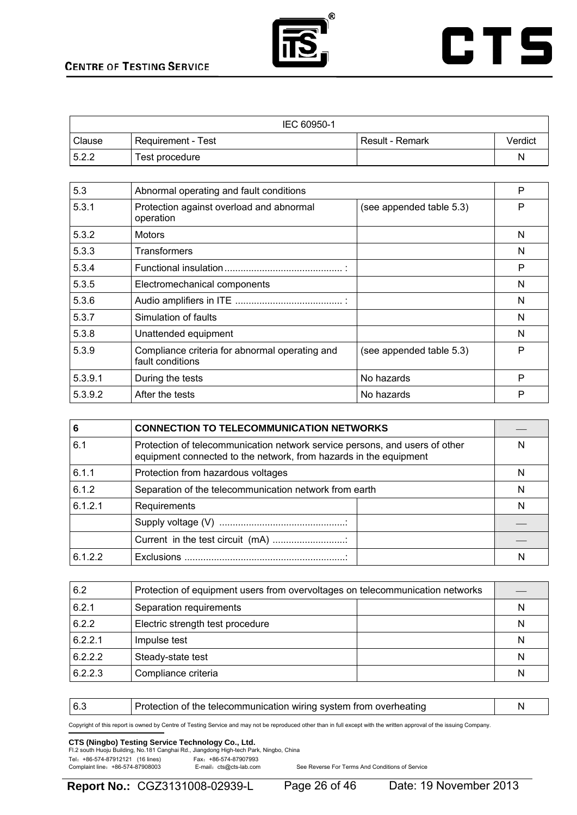



|        | IEC 60950-1          |                 |         |
|--------|----------------------|-----------------|---------|
| Clause | ' Requirement - Test | Result - Remark | Verdict |
| 5.2.2  | Test procedure       |                 | N       |

| 5.3     | Abnormal operating and fault conditions                            |                          | P |
|---------|--------------------------------------------------------------------|--------------------------|---|
| 5.3.1   | Protection against overload and abnormal<br>operation              | (see appended table 5.3) | P |
| 5.3.2   | <b>Motors</b>                                                      |                          | N |
| 5.3.3   | <b>Transformers</b>                                                |                          | N |
| 5.3.4   |                                                                    |                          | P |
| 5.3.5   | Electromechanical components                                       |                          | N |
| 5.3.6   |                                                                    |                          | N |
| 5.3.7   | Simulation of faults                                               |                          | N |
| 5.3.8   | Unattended equipment                                               |                          | N |
| 5.3.9   | Compliance criteria for abnormal operating and<br>fault conditions | (see appended table 5.3) | P |
| 5.3.9.1 | During the tests                                                   | No hazards               | P |
| 5.3.9.2 | After the tests                                                    | No hazards               | P |

| 6       | <b>CONNECTION TO TELECOMMUNICATION NETWORKS</b>                                                                                                  |   |
|---------|--------------------------------------------------------------------------------------------------------------------------------------------------|---|
| 6.1     | Protection of telecommunication network service persons, and users of other<br>equipment connected to the network, from hazards in the equipment |   |
| 6.1.1   | Protection from hazardous voltages                                                                                                               | N |
| 6.1.2   | Separation of the telecommunication network from earth                                                                                           |   |
| 6.1.2.1 | Requirements                                                                                                                                     |   |
|         |                                                                                                                                                  |   |
|         | Current in the test circuit (mA)                                                                                                                 |   |
| 6122    |                                                                                                                                                  |   |

| 6.2     | Protection of equipment users from overvoltages on telecommunication networks |  |   |
|---------|-------------------------------------------------------------------------------|--|---|
| 6.2.1   | Separation requirements                                                       |  | N |
| 6.2.2   | Electric strength test procedure                                              |  | N |
| 6.2.2.1 | Impulse test                                                                  |  | N |
| 6.2.2.2 | Steady-state test                                                             |  | N |
| 6.2.2.3 | Compliance criteria                                                           |  | N |

6.3 **Protection of the telecommunication wiring system from overheating** N

Copyright of this report is owned by Centre of Testing Service and may not be reproduced other than in full except with the written approval of the issuing Company.

### **CTS (Ningbo) Testing Service Technology Co., Ltd.**<br>Fl.2 south Huoju Building, No.181 Canghai Rd., Jiangdong High-tech Park, Ningbo, China

Tel: +86-574-87912121 (16 lines) Fax: +86-574-87907993<br>Complaint line: +86-574-87908003 E-mail: cts@cts-lab.com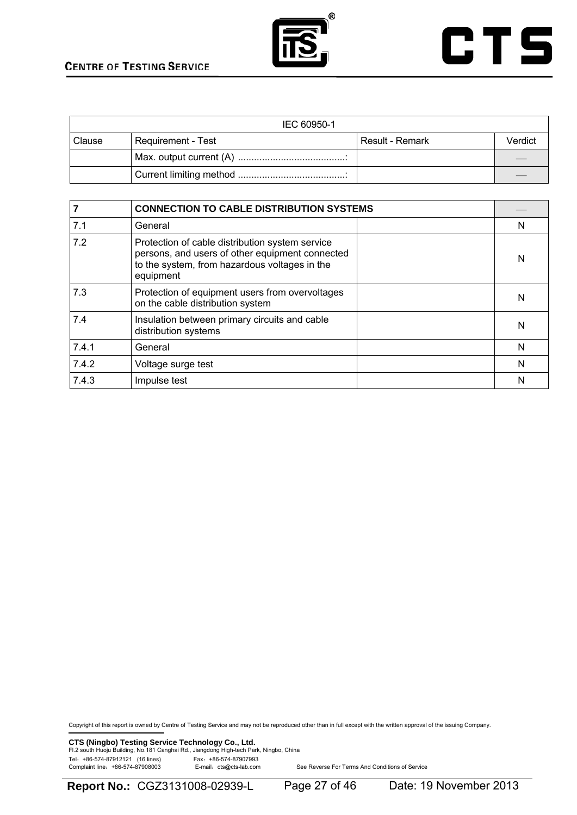



| IEC 60950-1 |                    |                   |         |
|-------------|--------------------|-------------------|---------|
| Clause      | Requirement - Test | l Result - Remark | Verdict |
|             |                    |                   |         |
|             |                    |                   |         |

|       | <b>CONNECTION TO CABLE DISTRIBUTION SYSTEMS</b>                                                                                                                  |   |
|-------|------------------------------------------------------------------------------------------------------------------------------------------------------------------|---|
| 7.1   | General                                                                                                                                                          | N |
| 7.2   | Protection of cable distribution system service<br>persons, and users of other equipment connected<br>to the system, from hazardous voltages in the<br>equipment | N |
| 7.3   | Protection of equipment users from overvoltages<br>on the cable distribution system                                                                              | N |
| 7.4   | Insulation between primary circuits and cable<br>distribution systems                                                                                            | N |
| 7.4.1 | General                                                                                                                                                          | N |
| 7.4.2 | Voltage surge test                                                                                                                                               | N |
| 7.4.3 | Impulse test                                                                                                                                                     | N |

Copyright of this report is owned by Centre of Testing Service and may not be reproduced other than in full except with the written approval of the issuing Company.

**CTS (Ningbo) Testing Service Technology Co., Ltd.**<br>Fl.2 south Huoju Building, No.181 Canghai Rd., Jiangdong High-tech Park, Ningbo, China Tel: +86-574-87912121 (16 lines)<br>Complaint line: +86-574-87908003 E-mail: cts@cts-lab.com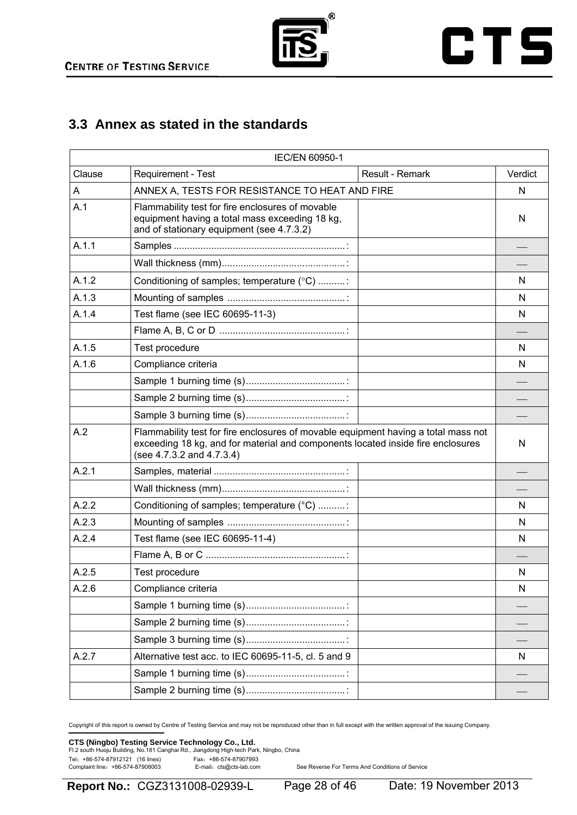



## **3.3 Annex as stated in the standards**

|        | IEC/EN 60950-1                                                                                                                                                                                                                |         |
|--------|-------------------------------------------------------------------------------------------------------------------------------------------------------------------------------------------------------------------------------|---------|
| Clause | Requirement - Test<br>Result - Remark                                                                                                                                                                                         | Verdict |
| A      | ANNEX A, TESTS FOR RESISTANCE TO HEAT AND FIRE                                                                                                                                                                                | N       |
| A.1    | Flammability test for fire enclosures of movable<br>equipment having a total mass exceeding 18 kg,<br>and of stationary equipment (see 4.7.3.2)                                                                               | N       |
| A.1.1  |                                                                                                                                                                                                                               |         |
|        |                                                                                                                                                                                                                               |         |
| A.1.2  | Conditioning of samples; temperature (°C) :                                                                                                                                                                                   | N       |
| A.1.3  |                                                                                                                                                                                                                               | N       |
| A.1.4  | Test flame (see IEC 60695-11-3)                                                                                                                                                                                               | N       |
|        |                                                                                                                                                                                                                               |         |
| A.1.5  | Test procedure                                                                                                                                                                                                                | N       |
| A.1.6  | Compliance criteria                                                                                                                                                                                                           | N       |
|        |                                                                                                                                                                                                                               |         |
|        |                                                                                                                                                                                                                               |         |
|        |                                                                                                                                                                                                                               |         |
| A.2    | Flammability test for fire enclosures of movable equipment having a total mass not<br>exceeding 18 kg, and for material and components located inside fire enclosures<br>(see $4.7.\overline{3}.2$ and $4.7.\overline{3}.4$ ) | N       |
| A.2.1  |                                                                                                                                                                                                                               |         |
|        |                                                                                                                                                                                                                               |         |
| A.2.2  | Conditioning of samples; temperature (°C) :                                                                                                                                                                                   | N       |
| A.2.3  |                                                                                                                                                                                                                               | N       |
| A.2.4  | Test flame (see IEC 60695-11-4)                                                                                                                                                                                               | N       |
|        |                                                                                                                                                                                                                               |         |
| A.2.5  | Test procedure                                                                                                                                                                                                                | N       |
| A.2.6  | Compliance criteria                                                                                                                                                                                                           | N       |
|        |                                                                                                                                                                                                                               |         |
|        |                                                                                                                                                                                                                               |         |
|        |                                                                                                                                                                                                                               |         |
| A.2.7  | Alternative test acc. to IEC 60695-11-5, cl. 5 and 9                                                                                                                                                                          | N       |
|        |                                                                                                                                                                                                                               |         |
|        |                                                                                                                                                                                                                               |         |

Copyright of this report is owned by Centre of Testing Service and may not be reproduced other than in full except with the written approval of the issuing Company.

### **CTS (Ningbo) Testing Service Technology Co., Ltd.**<br>Fl.2 south Huoju Building, No.181 Canghai Rd., Jiangdong High-tech Park, Ningbo, China

Tel: +86-574-87912121 (16 lines) Fax: +86-574-87907993<br>Complaint line: +86-574-87908003 E-mail: cts@cts-lab.com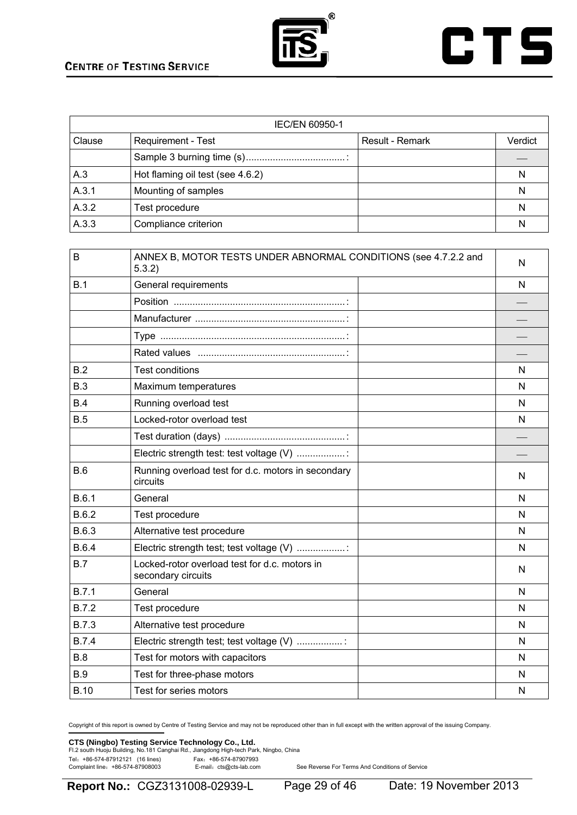



|        | IEC/EN 60950-1                   |                        |         |  |
|--------|----------------------------------|------------------------|---------|--|
| Clause | <b>Requirement - Test</b>        | <b>Result - Remark</b> | Verdict |  |
|        |                                  |                        |         |  |
| A.3    | Hot flaming oil test (see 4.6.2) |                        | N       |  |
| A.3.1  | Mounting of samples              |                        | N       |  |
| A.3.2  | Test procedure                   |                        | N       |  |
| A.3.3  | Compliance criterion             |                        | N       |  |

| B            | ANNEX B, MOTOR TESTS UNDER ABNORMAL CONDITIONS (see 4.7.2.2 and<br>5.3.2) | N |
|--------------|---------------------------------------------------------------------------|---|
| B.1          | General requirements                                                      | N |
|              |                                                                           |   |
|              |                                                                           |   |
|              |                                                                           |   |
|              |                                                                           |   |
| B.2          | <b>Test conditions</b>                                                    | N |
| B.3          | Maximum temperatures                                                      | N |
| B.4          | Running overload test                                                     | N |
| B.5          | Locked-rotor overload test                                                | N |
|              |                                                                           |   |
|              | Electric strength test: test voltage (V) :                                |   |
| B.6          | Running overload test for d.c. motors in secondary<br>circuits            | N |
| B.6.1        | General                                                                   | N |
| B.6.2        | Test procedure                                                            | N |
| B.6.3        | Alternative test procedure                                                | N |
| B.6.4        | Electric strength test; test voltage (V)                                  | N |
| B.7          | Locked-rotor overload test for d.c. motors in<br>secondary circuits       | N |
| B.7.1        | General                                                                   | N |
| <b>B.7.2</b> | Test procedure                                                            | N |
| <b>B.7.3</b> | Alternative test procedure                                                | N |
| <b>B.7.4</b> | Electric strength test; test voltage (V) :                                | N |
| <b>B.8</b>   | Test for motors with capacitors                                           | N |
| <b>B.9</b>   | Test for three-phase motors                                               | N |
| <b>B.10</b>  | Test for series motors                                                    | N |

Copyright of this report is owned by Centre of Testing Service and may not be reproduced other than in full except with the written approval of the issuing Company.

### **CTS (Ningbo) Testing Service Technology Co., Ltd.**<br>Fl.2 south Huoju Building, No.181 Canghai Rd., Jiangdong High-tech Park, Ningbo, China

Tel: +86-574-87912121 (16 lines)<br>Complaint line: +86-574-87908003 E-mail: cts@cts-lab.com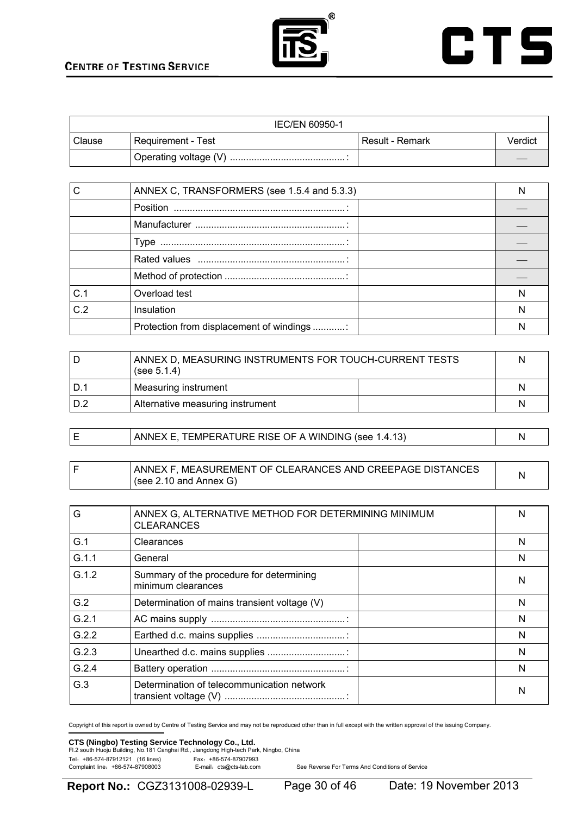



| IEC/EN 60950-1 |                    |                   |         |
|----------------|--------------------|-------------------|---------|
| Clause         | Requirement - Test | l Result - Remark | Verdict |
|                |                    |                   |         |

|     | ANNEX C, TRANSFORMERS (see 1.5.4 and 5.3.3) | N |
|-----|---------------------------------------------|---|
|     |                                             |   |
|     |                                             |   |
|     |                                             |   |
|     |                                             |   |
|     |                                             |   |
| C.1 | Overload test                               | N |
| C.2 | Insulation                                  | N |
|     | Protection from displacement of windings    |   |

|     | ANNEX D, MEASURING INSTRUMENTS FOR TOUCH-CURRENT TESTS<br>(see $5.1.4$ ) |  | N |
|-----|--------------------------------------------------------------------------|--|---|
|     | Measuring instrument                                                     |  | N |
| D.2 | Alternative measuring instrument                                         |  | N |

| ANNEX E, TEMPERATURE RISE OF A WINDING (see 1.4.13) |  |
|-----------------------------------------------------|--|
|                                                     |  |

|  | ANNEX F. MEASUREMENT OF CLEARANCES AND CREEPAGE DISTANCES |  |
|--|-----------------------------------------------------------|--|
|  | l (see 2.10 and Annex G)                                  |  |

| G     | ANNEX G, ALTERNATIVE METHOD FOR DETERMINING MINIMUM<br><b>CLEARANCES</b> | N |
|-------|--------------------------------------------------------------------------|---|
| G.1   | Clearances                                                               | N |
| G.1.1 | General                                                                  | N |
| G.1.2 | Summary of the procedure for determining<br>minimum clearances           | N |
| G.2   | Determination of mains transient voltage (V)                             | N |
| G.2.1 |                                                                          | N |
| G.2.2 |                                                                          | N |
| G.2.3 |                                                                          | N |
| G.2.4 |                                                                          | N |
| G.3   | Determination of telecommunication network                               | N |

Copyright of this report is owned by Centre of Testing Service and may not be reproduced other than in full except with the written approval of the issuing Company.

### **CTS (Ningbo) Testing Service Technology Co., Ltd.**<br>Fl.2 south Huoju Building, No.181 Canghai Rd., Jiangdong High-tech Park, Ningbo, China

Tel: +86-574-87912121 (16 lines)<br>Complaint line: +86-574-87908003 E-mail: cts@cts-lab.com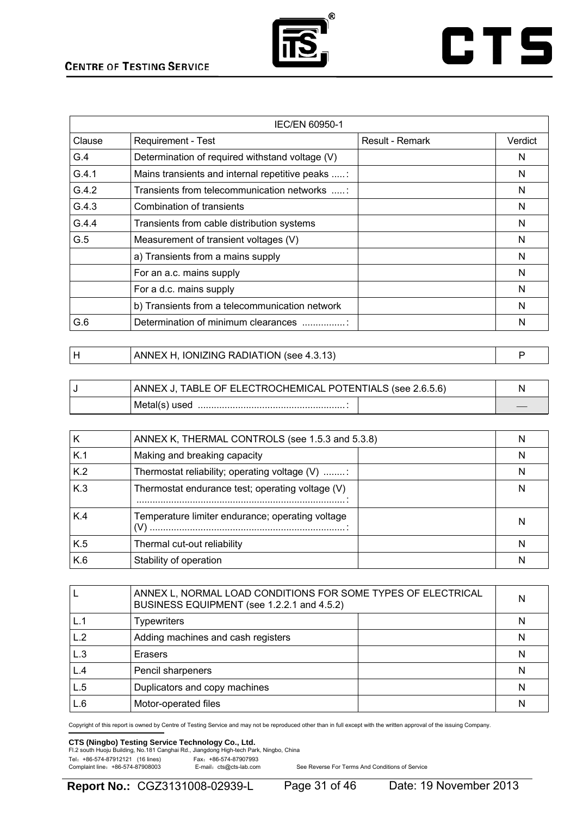

## **CTS**

| <b>IEC/EN 60950-1</b> |                                                  |                 |         |
|-----------------------|--------------------------------------------------|-----------------|---------|
| Clause                | <b>Requirement - Test</b>                        | Result - Remark | Verdict |
| G.4                   | Determination of required withstand voltage (V)  |                 | N       |
| G.4.1                 | Mains transients and internal repetitive peaks : |                 | N       |
| G.4.2                 | Transients from telecommunication networks :     |                 | N       |
| G.4.3                 | Combination of transients                        |                 | N       |
| G.4.4                 | Transients from cable distribution systems       |                 | N       |
| G.5                   | Measurement of transient voltages (V)            |                 | N       |
|                       | a) Transients from a mains supply                |                 | N       |
|                       | For an a.c. mains supply                         |                 | N       |
|                       | For a d.c. mains supply                          |                 | N       |
|                       | b) Transients from a telecommunication network   |                 | N       |
| G.6                   | Determination of minimum clearances              |                 | N       |

| ANNEX H, IONIZING RADIATION (see 4.3.13) |  |
|------------------------------------------|--|
|                                          |  |

| ANNEX J, TABLE OF ELECTROCHEMICAL POTENTIALS (see 2.6.5.6) |  |
|------------------------------------------------------------|--|
| Metal(s) used                                              |  |

|     | ANNEX K, THERMAL CONTROLS (see 1.5.3 and 5.3.8)         | N |
|-----|---------------------------------------------------------|---|
| K.1 | Making and breaking capacity                            | N |
| K.2 | Thermostat reliability; operating voltage (V) :         | N |
| K.3 | Thermostat endurance test; operating voltage (V)        | N |
| K.4 | Temperature limiter endurance; operating voltage<br>(V) | N |
| K.5 | Thermal cut-out reliability                             | N |
| K.6 | Stability of operation                                  |   |

|     | ANNEX L, NORMAL LOAD CONDITIONS FOR SOME TYPES OF ELECTRICAL<br>BUSINESS EQUIPMENT (see 1.2.2.1 and 4.5.2) |   |
|-----|------------------------------------------------------------------------------------------------------------|---|
|     | <b>Typewriters</b>                                                                                         | N |
| L.2 | Adding machines and cash registers                                                                         | N |
| L.3 | Erasers                                                                                                    | N |
| L.4 | Pencil sharpeners                                                                                          | N |
| L.5 | Duplicators and copy machines                                                                              | N |
| L.6 | Motor-operated files                                                                                       | N |

Copyright of this report is owned by Centre of Testing Service and may not be reproduced other than in full except with the written approval of the issuing Company.

### **CTS (Ningbo) Testing Service Technology Co., Ltd.**<br>Fl.2 south Huoju Building, No.181 Canghai Rd., Jiangdong High-tech Park, Ningbo, China

Tel: +86-574-87912121 (16 lines)<br>Complaint line: +86-574-87908003 E-mail: cts@cts-lab.com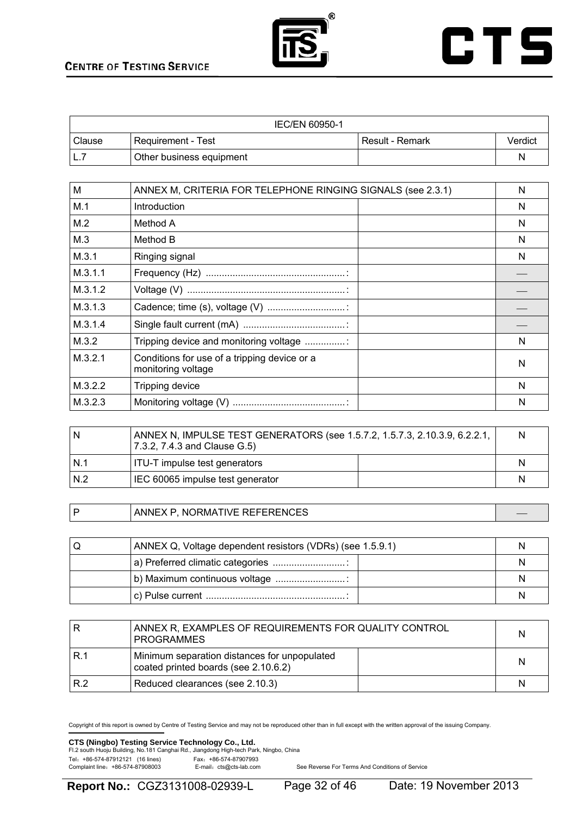



| <b>IEC/EN 60950-1</b> |                          |                 |         |
|-----------------------|--------------------------|-----------------|---------|
| Clause                | Requirement - Test       | Result - Remark | Verdict |
|                       | Other business equipment |                 |         |

| M       | ANNEX M, CRITERIA FOR TELEPHONE RINGING SIGNALS (see 2.3.1)        | N |
|---------|--------------------------------------------------------------------|---|
| M.1     | Introduction                                                       | N |
| M.2     | Method A                                                           | N |
| M.3     | Method B                                                           | N |
| M.3.1   | Ringing signal                                                     | N |
| M.3.1.1 |                                                                    |   |
| M.3.1.2 |                                                                    |   |
| M.3.1.3 |                                                                    |   |
| M.3.1.4 |                                                                    |   |
| M.3.2   | Tripping device and monitoring voltage                             | N |
| M.3.2.1 | Conditions for use of a tripping device or a<br>monitoring voltage | N |
| M.3.2.2 | Tripping device                                                    | N |
| M.3.2.3 |                                                                    | N |

| N   | ANNEX N, IMPULSE TEST GENERATORS (see 1.5.7.2, 1.5.7.3, 2.10.3.9, 6.2.2.1,<br>7.3.2, 7.4.3 and Clause G.5) | N |
|-----|------------------------------------------------------------------------------------------------------------|---|
| N.1 | ITU-T impulse test generators                                                                              | N |
| N.2 | IEC 60065 impulse test generator                                                                           | N |

P ANNEX P, NORMATIVE REFERENCES

| U | ANNEX Q, Voltage dependent resistors (VDRs) (see 1.5.9.1) |  |
|---|-----------------------------------------------------------|--|
|   | a) Preferred climatic categories                          |  |
|   | b) Maximum continuous voltage                             |  |
|   |                                                           |  |

|     | ANNEX R, EXAMPLES OF REQUIREMENTS FOR QUALITY CONTROL<br><b>PROGRAMMES</b>           | N |
|-----|--------------------------------------------------------------------------------------|---|
| R.1 | Minimum separation distances for unpopulated<br>coated printed boards (see 2.10.6.2) | N |
| R.2 | Reduced clearances (see 2.10.3)                                                      | N |

Copyright of this report is owned by Centre of Testing Service and may not be reproduced other than in full except with the written approval of the issuing Company.

### **CTS (Ningbo) Testing Service Technology Co., Ltd.**<br>Fl.2 south Huoju Building, No.181 Canghai Rd., Jiangdong High-tech Park, Ningbo, China

Tel: +86-574-87912121 (16 lines)<br>Complaint line: +86-574-87908003 E-mail: cts@cts-lab.com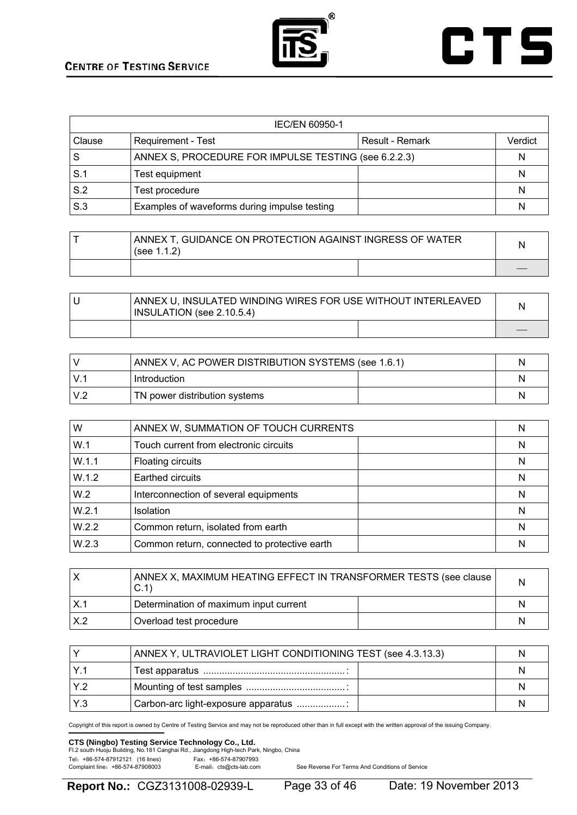



| <b>IEC/EN 60950-1</b> |                                                      |                 |         |
|-----------------------|------------------------------------------------------|-----------------|---------|
| <b>Clause</b>         | Requirement - Test                                   | Result - Remark | Verdict |
| l S                   | ANNEX S, PROCEDURE FOR IMPULSE TESTING (see 6.2.2.3) |                 | N       |
| S.1                   | Test equipment                                       |                 | N       |
| S.2                   | Test procedure                                       |                 | N       |
| S.3                   | Examples of waveforms during impulse testing         |                 | N       |

| ANNEX T, GUIDANCE ON PROTECTION AGAINST INGRESS OF WATER<br>(see $1.1.2$ ) | N |
|----------------------------------------------------------------------------|---|
|                                                                            |   |

| ANNEX U, INSULATED WINDING WIRES FOR USE WITHOUT INTERLEAVED<br>INSULATION (see 2.10.5.4) |  |
|-------------------------------------------------------------------------------------------|--|
|                                                                                           |  |

|             | ANNEX V, AC POWER DISTRIBUTION SYSTEMS (see 1.6.1) |  |
|-------------|----------------------------------------------------|--|
| $V_{\cdot}$ | Introduction                                       |  |
| V.2         | TN power distribution systems                      |  |

| W     | ANNEX W, SUMMATION OF TOUCH CURRENTS         | N |
|-------|----------------------------------------------|---|
| W.1   | Touch current from electronic circuits       | N |
| W.1.1 | Floating circuits                            | N |
| W.1.2 | Earthed circuits                             | N |
| W.2   | Interconnection of several equipments        | N |
| W.2.1 | <b>Isolation</b>                             | N |
| W.2.2 | Common return, isolated from earth           | Ν |
| W.2.3 | Common return, connected to protective earth | N |

|     | ANNEX X, MAXIMUM HEATING EFFECT IN TRANSFORMER TESTS (see clause<br>C.1 | N |
|-----|-------------------------------------------------------------------------|---|
|     | Determination of maximum input current                                  | N |
| X.2 | Overload test procedure                                                 | N |

|            | ANNEX Y, ULTRAVIOLET LIGHT CONDITIONING TEST (see 4.3.13.3) | N |
|------------|-------------------------------------------------------------|---|
|            |                                                             |   |
| $1 \vee 2$ |                                                             |   |
| IY.3       | Carbon-arc light-exposure apparatus                         |   |

Copyright of this report is owned by Centre of Testing Service and may not be reproduced other than in full except with the written approval of the issuing Company.

### **CTS (Ningbo) Testing Service Technology Co., Ltd.**<br>Fl.2 south Huoju Building, No.181 Canghai Rd., Jiangdong High-tech Park, Ningbo, China

Tel: +86-574-87912121 (16 lines) Fax: +86-574-87907993<br>Complaint line: +86-574-87908003 E-mail: cts@cts-lab.com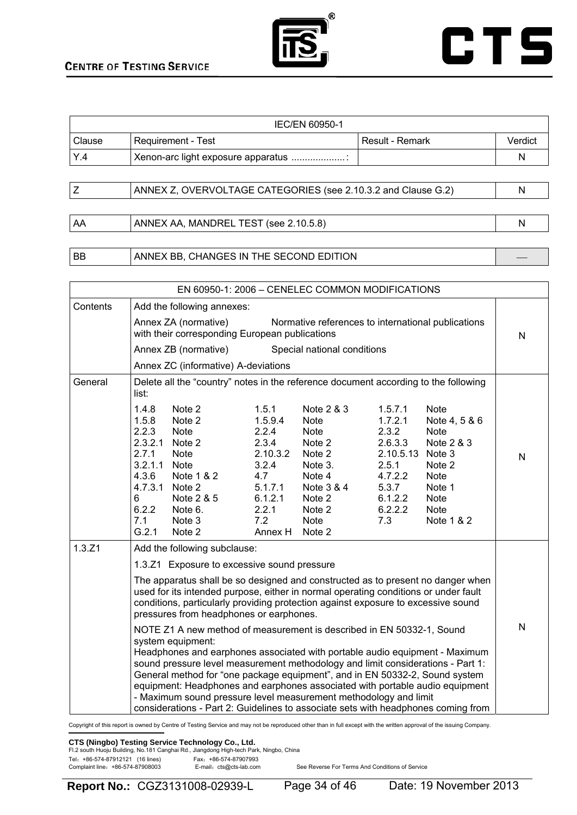| ® |
|---|
|   |
|   |
|   |



| IEC/EN 60950-1 |                                    |                   |         |
|----------------|------------------------------------|-------------------|---------|
| Clause         | Requirement - Test                 | l Result - Remark | Verdict |
| Y.4            | Xenon-arc light exposure apparatus |                   |         |
|                |                                    |                   |         |

| ANNEX Z, OVERVOLTAGE CATEGORIES (see 2.10.3.2 and Clause G.2) |  |
|---------------------------------------------------------------|--|
|                                                               |  |

AA ANNEX AA, MANDREL TEST (see 2.10.5.8) N

#### BB ANNEX BB, CHANGES IN THE SECOND EDITION

| EN 60950-1: 2006 - CENELEC COMMON MODIFICATIONS |                                                                                                                                                                                                                                                                                                                                                                                                                                                                                                                                                                                                                                                                                                                                                                                                                                                                                                                                                                               |                                                                                                                 |                                                                                                                                |                                                                                                               |                                                                                                                                                    |   |
|-------------------------------------------------|-------------------------------------------------------------------------------------------------------------------------------------------------------------------------------------------------------------------------------------------------------------------------------------------------------------------------------------------------------------------------------------------------------------------------------------------------------------------------------------------------------------------------------------------------------------------------------------------------------------------------------------------------------------------------------------------------------------------------------------------------------------------------------------------------------------------------------------------------------------------------------------------------------------------------------------------------------------------------------|-----------------------------------------------------------------------------------------------------------------|--------------------------------------------------------------------------------------------------------------------------------|---------------------------------------------------------------------------------------------------------------|----------------------------------------------------------------------------------------------------------------------------------------------------|---|
| Contents                                        | Add the following annexes:                                                                                                                                                                                                                                                                                                                                                                                                                                                                                                                                                                                                                                                                                                                                                                                                                                                                                                                                                    |                                                                                                                 |                                                                                                                                |                                                                                                               |                                                                                                                                                    |   |
|                                                 | Annex ZA (normative)<br>with their corresponding European publications                                                                                                                                                                                                                                                                                                                                                                                                                                                                                                                                                                                                                                                                                                                                                                                                                                                                                                        |                                                                                                                 | Normative references to international publications                                                                             |                                                                                                               |                                                                                                                                                    | N |
|                                                 | Annex ZB (normative)                                                                                                                                                                                                                                                                                                                                                                                                                                                                                                                                                                                                                                                                                                                                                                                                                                                                                                                                                          |                                                                                                                 | Special national conditions                                                                                                    |                                                                                                               |                                                                                                                                                    |   |
|                                                 | Annex ZC (informative) A-deviations                                                                                                                                                                                                                                                                                                                                                                                                                                                                                                                                                                                                                                                                                                                                                                                                                                                                                                                                           |                                                                                                                 |                                                                                                                                |                                                                                                               |                                                                                                                                                    |   |
| General                                         | Delete all the "country" notes in the reference document according to the following<br>list:                                                                                                                                                                                                                                                                                                                                                                                                                                                                                                                                                                                                                                                                                                                                                                                                                                                                                  |                                                                                                                 |                                                                                                                                |                                                                                                               |                                                                                                                                                    |   |
|                                                 | 1.4.8<br>Note 2<br>Note 2<br>1.5.8<br>2.2.3<br><b>Note</b><br>2.3.2.1<br>Note 2<br>2.7.1<br><b>Note</b><br>3.2.1.1<br><b>Note</b><br>4.3.6<br>Note 1 & 2<br>Note 2<br>4.7.3.1<br>Note 2 & 5<br>6<br>6.2.2<br>Note 6.<br>7.1<br>Note 3<br>G.2.1<br>Note 2                                                                                                                                                                                                                                                                                                                                                                                                                                                                                                                                                                                                                                                                                                                      | 1.5.1<br>1.5.9.4<br>2.2.4<br>2.3.4<br>2.10.3.2<br>3.2.4<br>4.7<br>5.1.7.1<br>6.1.2.1<br>2.2.1<br>7.2<br>Annex H | Note 2 & 3<br>Note<br>Note<br>Note 2<br>Note 2<br>Note 3.<br>Note 4<br>Note 3 & 4<br>Note 2<br>Note 2<br><b>Note</b><br>Note 2 | 1.5.7.1<br>1.7.2.1<br>2.3.2<br>2.6.3.3<br>2.10.5.13<br>2.5.1<br>4.7.2.2<br>5.3.7<br>6.1.2.2<br>6.2.2.2<br>7.3 | <b>Note</b><br>Note 4, 5 & 6<br><b>Note</b><br>Note 2 & 3<br>Note 3<br>Note 2<br><b>Note</b><br>Note 1<br><b>Note</b><br><b>Note</b><br>Note 1 & 2 | N |
| 1.3.Z1                                          | Add the following subclause:<br>1.3.Z1 Exposure to excessive sound pressure<br>The apparatus shall be so designed and constructed as to present no danger when<br>used for its intended purpose, either in normal operating conditions or under fault<br>conditions, particularly providing protection against exposure to excessive sound<br>pressures from headphones or earphones.<br>NOTE Z1 A new method of measurement is described in EN 50332-1, Sound<br>system equipment:<br>Headphones and earphones associated with portable audio equipment - Maximum<br>sound pressure level measurement methodology and limit considerations - Part 1:<br>General method for "one package equipment", and in EN 50332-2, Sound system<br>equipment: Headphones and earphones associated with portable audio equipment<br>- Maximum sound pressure level measurement methodology and limit<br>considerations - Part 2: Guidelines to associate sets with headphones coming from |                                                                                                                 | N                                                                                                                              |                                                                                                               |                                                                                                                                                    |   |

Copyright of this report is owned by Centre of Testing Service and may not be reproduced other than in full except with the written approval of the issuing Company.

#### **CTS (Ningbo) Testing Service Technology Co., Ltd.**

|                                  |  | FI.2 south Huoju Building, No.181 Canghai Rd., Jiangdong High-tech Park, Ningbo, China |  |
|----------------------------------|--|----------------------------------------------------------------------------------------|--|
| Tel: +86-574-87912121 (16 lines) |  | Fax: +86-574-87907993                                                                  |  |
| Complaint line: +86-574-87908003 |  | E-mail: cts@cts-lab.com                                                                |  |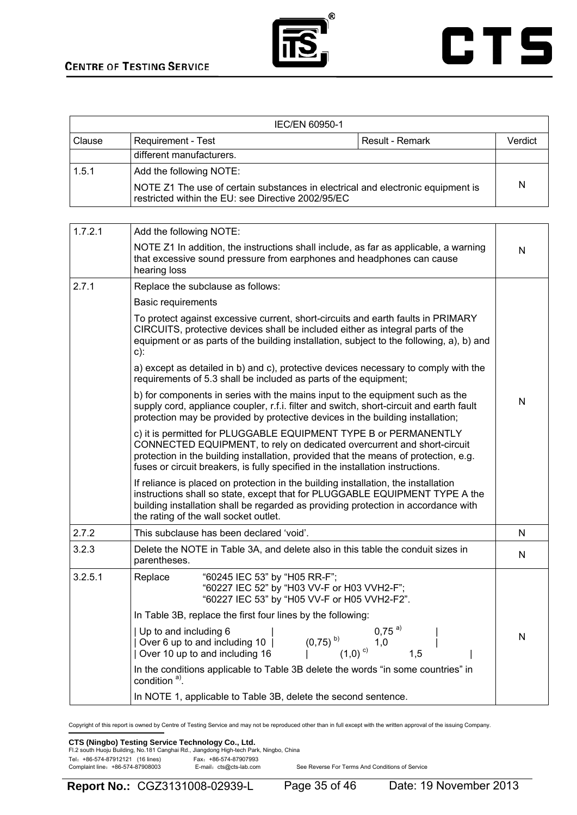



| IEC/EN 60950-1 |                                                                                                                                       |                 |         |
|----------------|---------------------------------------------------------------------------------------------------------------------------------------|-----------------|---------|
| <b>Clause</b>  | Requirement - Test                                                                                                                    | Result - Remark | Verdict |
|                | different manufacturers.                                                                                                              |                 |         |
| 1.5.1          | Add the following NOTE:                                                                                                               |                 |         |
|                | NOTE Z1 The use of certain substances in electrical and electronic equipment is<br>restricted within the EU: see Directive 2002/95/EC |                 | N       |

| 1.7.2.1 | Add the following NOTE:                                                                                                                                                                                                                                                                                                |   |
|---------|------------------------------------------------------------------------------------------------------------------------------------------------------------------------------------------------------------------------------------------------------------------------------------------------------------------------|---|
|         | NOTE Z1 In addition, the instructions shall include, as far as applicable, a warning<br>that excessive sound pressure from earphones and headphones can cause<br>hearing loss                                                                                                                                          | N |
| 2.7.1   | Replace the subclause as follows:                                                                                                                                                                                                                                                                                      |   |
|         | <b>Basic requirements</b>                                                                                                                                                                                                                                                                                              |   |
|         | To protect against excessive current, short-circuits and earth faults in PRIMARY<br>CIRCUITS, protective devices shall be included either as integral parts of the<br>equipment or as parts of the building installation, subject to the following, a), b) and<br>$c)$ :                                               |   |
|         | a) except as detailed in b) and c), protective devices necessary to comply with the<br>requirements of 5.3 shall be included as parts of the equipment;                                                                                                                                                                |   |
|         | b) for components in series with the mains input to the equipment such as the<br>supply cord, appliance coupler, r.f.i. filter and switch, short-circuit and earth fault<br>protection may be provided by protective devices in the building installation;                                                             | N |
|         | c) it is permitted for PLUGGABLE EQUIPMENT TYPE B or PERMANENTLY<br>CONNECTED EQUIPMENT, to rely on dedicated overcurrent and short-circuit<br>protection in the building installation, provided that the means of protection, e.g.<br>fuses or circuit breakers, is fully specified in the installation instructions. |   |
|         | If reliance is placed on protection in the building installation, the installation<br>instructions shall so state, except that for PLUGGABLE EQUIPMENT TYPE A the<br>building installation shall be regarded as providing protection in accordance with<br>the rating of the wall socket outlet.                       |   |
| 2.7.2   | This subclause has been declared 'void'.                                                                                                                                                                                                                                                                               | N |
| 3.2.3   | Delete the NOTE in Table 3A, and delete also in this table the conduit sizes in<br>parentheses.                                                                                                                                                                                                                        | N |
| 3.2.5.1 | "60245 IEC 53" by "H05 RR-F";<br>Replace<br>"60227 IEC 52" by "H03 VV-F or H03 VVH2-F";<br>"60227 IEC 53" by "H05 VV-F or H05 VVH2-F2".                                                                                                                                                                                |   |
|         | In Table 3B, replace the first four lines by the following:                                                                                                                                                                                                                                                            |   |
|         | $0,75^{a}$<br>  Up to and including 6<br>$(0,75)$ <sup>b)</sup><br>  Over 6 up to and including 10  <br>1,0<br>$\left( 1,0\right)$ $^{\circ}$<br>  Over 10 up to and including 16<br>1,5                                                                                                                               | N |
|         | In the conditions applicable to Table 3B delete the words "in some countries" in<br>condition <sup>a)</sup> .                                                                                                                                                                                                          |   |
|         | In NOTE 1, applicable to Table 3B, delete the second sentence.                                                                                                                                                                                                                                                         |   |

Copyright of this report is owned by Centre of Testing Service and may not be reproduced other than in full except with the written approval of the issuing Company.

### **CTS (Ningbo) Testing Service Technology Co., Ltd.**<br>Fl.2 south Huoju Building, No.181 Canghai Rd., Jiangdong High-tech Park, Ningbo, China

Tel: +86-574-87912121 (16 lines)<br>Complaint line: +86-574-87908003 E-mail: cts@cts-lab.com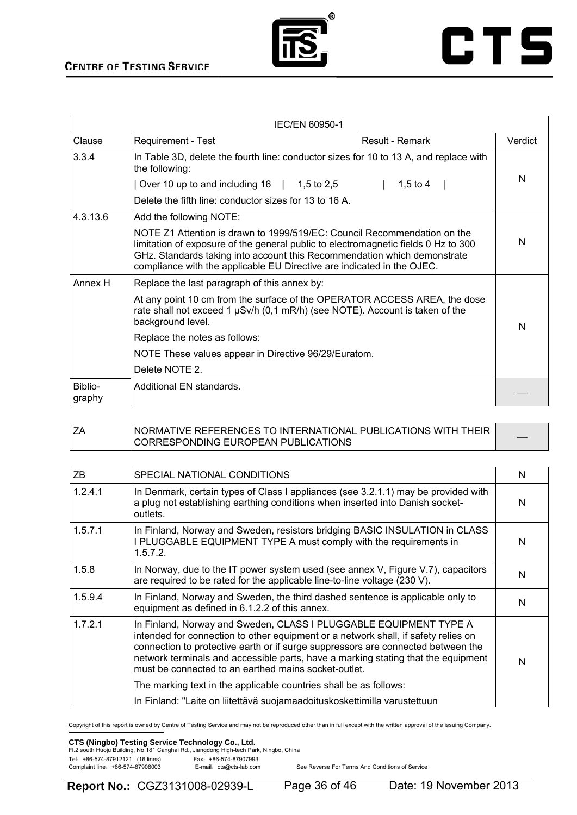



| IEC/EN 60950-1    |                                                                                                                                                                                                                                                                                                                      |                 |         |
|-------------------|----------------------------------------------------------------------------------------------------------------------------------------------------------------------------------------------------------------------------------------------------------------------------------------------------------------------|-----------------|---------|
| Clause            | <b>Requirement - Test</b>                                                                                                                                                                                                                                                                                            | Result - Remark | Verdict |
| 3.3.4             | In Table 3D, delete the fourth line: conductor sizes for 10 to 13 A, and replace with<br>the following:                                                                                                                                                                                                              |                 |         |
|                   | Over 10 up to and including $16 \mid 1,5$ to 2,5                                                                                                                                                                                                                                                                     | 1,5 to 4        | N       |
|                   | Delete the fifth line: conductor sizes for 13 to 16 A.                                                                                                                                                                                                                                                               |                 |         |
| 4.3.13.6          | Add the following NOTE:                                                                                                                                                                                                                                                                                              |                 |         |
|                   | NOTE Z1 Attention is drawn to 1999/519/EC: Council Recommendation on the<br>limitation of exposure of the general public to electromagnetic fields 0 Hz to 300<br>GHz. Standards taking into account this Recommendation which demonstrate<br>compliance with the applicable EU Directive are indicated in the OJEC. |                 | N       |
| Annex H           | Replace the last paragraph of this annex by:                                                                                                                                                                                                                                                                         |                 |         |
|                   | At any point 10 cm from the surface of the OPERATOR ACCESS AREA, the dose<br>rate shall not exceed 1 $\mu$ Sv/h (0,1 mR/h) (see NOTE). Account is taken of the<br>background level.                                                                                                                                  |                 | N       |
|                   | Replace the notes as follows:                                                                                                                                                                                                                                                                                        |                 |         |
|                   | NOTE These values appear in Directive 96/29/Euratom.                                                                                                                                                                                                                                                                 |                 |         |
|                   | Delete NOTE 2.                                                                                                                                                                                                                                                                                                       |                 |         |
| Biblio-<br>graphy | Additional EN standards.                                                                                                                                                                                                                                                                                             |                 |         |

| ' NORMATIVE REFERENCES TO INTERNATIONAL PUBLICATIONS WITH THEIR<br>I CORRESPONDING EUROPEAN PUBLICATIONS |  |
|----------------------------------------------------------------------------------------------------------|--|
|----------------------------------------------------------------------------------------------------------|--|

| ZB.     | SPECIAL NATIONAL CONDITIONS                                                                                                                                                                                                                                                                                                                                                                                                                                                                                                                | N |
|---------|--------------------------------------------------------------------------------------------------------------------------------------------------------------------------------------------------------------------------------------------------------------------------------------------------------------------------------------------------------------------------------------------------------------------------------------------------------------------------------------------------------------------------------------------|---|
| 1.2.4.1 | In Denmark, certain types of Class I appliances (see 3.2.1.1) may be provided with<br>a plug not establishing earthing conditions when inserted into Danish socket-<br>outlets.                                                                                                                                                                                                                                                                                                                                                            | N |
| 1.5.7.1 | In Finland, Norway and Sweden, resistors bridging BASIC INSULATION in CLASS<br>I PLUGGABLE EQUIPMENT TYPE A must comply with the requirements in<br>1.5.7.2.                                                                                                                                                                                                                                                                                                                                                                               | N |
| 1.5.8   | In Norway, due to the IT power system used (see annex V, Figure V.7), capacitors<br>are required to be rated for the applicable line-to-line voltage (230 V).                                                                                                                                                                                                                                                                                                                                                                              | N |
| 1.5.9.4 | In Finland, Norway and Sweden, the third dashed sentence is applicable only to<br>equipment as defined in 6.1.2.2 of this annex.                                                                                                                                                                                                                                                                                                                                                                                                           | N |
| 1.7.2.1 | In Finland, Norway and Sweden, CLASS I PLUGGABLE EQUIPMENT TYPE A<br>intended for connection to other equipment or a network shall, if safety relies on<br>connection to protective earth or if surge suppressors are connected between the<br>network terminals and accessible parts, have a marking stating that the equipment<br>must be connected to an earthed mains socket-outlet.<br>The marking text in the applicable countries shall be as follows:<br>In Finland: "Laite on liitettävä suojamaadoituskoskettimilla varustettuun | N |

Copyright of this report is owned by Centre of Testing Service and may not be reproduced other than in full except with the written approval of the issuing Company.

#### **CTS (Ningbo) Testing Service Technology Co., Ltd.**

| Fl.2 south Huoju Building, No.181 Canghai Rd., Jiangdong High-tech Park, Ningbo, China |                         |  |
|----------------------------------------------------------------------------------------|-------------------------|--|
| Tel: +86-574-87912121 (16 lines)                                                       | Fax: +86-574-87907993   |  |
| Complaint line: +86-574-87908003                                                       | E-mail: cts@cts-lab.com |  |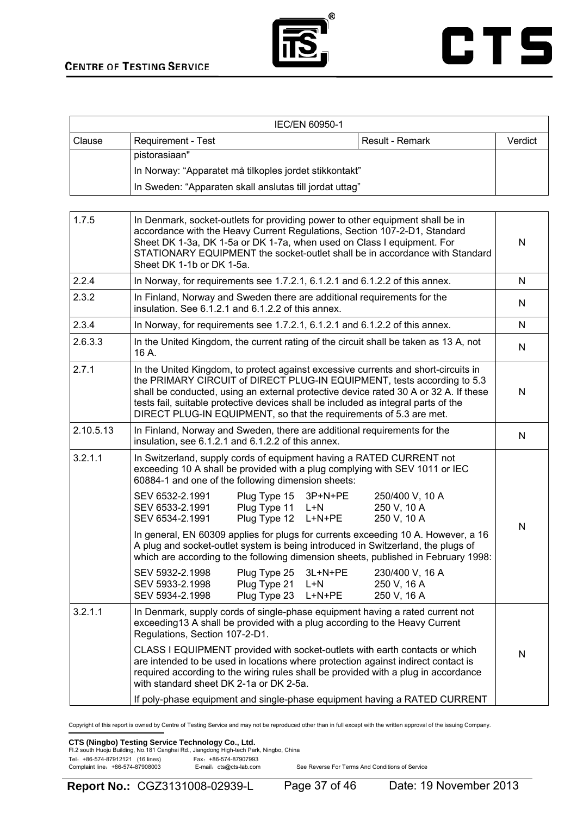



| IEC/EN 60950-1 |                                                         |                 |         |
|----------------|---------------------------------------------------------|-----------------|---------|
| Clause         | <b>Requirement - Test</b>                               | Result - Remark | Verdict |
|                | pistorasiaan"                                           |                 |         |
|                | In Norway: "Apparatet må tilkoples jordet stikkontakt"  |                 |         |
|                | In Sweden: "Apparaten skall anslutas till jordat uttag" |                 |         |

| 1.7.5     | In Denmark, socket-outlets for providing power to other equipment shall be in<br>accordance with the Heavy Current Regulations, Section 107-2-D1, Standard<br>Sheet DK 1-3a, DK 1-5a or DK 1-7a, when used on Class I equipment. For<br>STATIONARY EQUIPMENT the socket-outlet shall be in accordance with Standard<br>Sheet DK 1-1b or DK 1-5a.                                                                  | N            |
|-----------|-------------------------------------------------------------------------------------------------------------------------------------------------------------------------------------------------------------------------------------------------------------------------------------------------------------------------------------------------------------------------------------------------------------------|--------------|
| 2.2.4     | In Norway, for requirements see 1.7.2.1, 6.1.2.1 and 6.1.2.2 of this annex.                                                                                                                                                                                                                                                                                                                                       | N            |
| 2.3.2     | In Finland, Norway and Sweden there are additional requirements for the<br>insulation. See 6.1.2.1 and 6.1.2.2 of this annex.                                                                                                                                                                                                                                                                                     | N            |
| 2.3.4     | In Norway, for requirements see 1.7.2.1, 6.1.2.1 and 6.1.2.2 of this annex.                                                                                                                                                                                                                                                                                                                                       | N            |
| 2.6.3.3   | In the United Kingdom, the current rating of the circuit shall be taken as 13 A, not<br>16 A.                                                                                                                                                                                                                                                                                                                     | $\mathsf{N}$ |
| 2.7.1     | In the United Kingdom, to protect against excessive currents and short-circuits in<br>the PRIMARY CIRCUIT of DIRECT PLUG-IN EQUIPMENT, tests according to 5.3<br>shall be conducted, using an external protective device rated 30 A or 32 A. If these<br>tests fail, suitable protective devices shall be included as integral parts of the<br>DIRECT PLUG-IN EQUIPMENT, so that the requirements of 5.3 are met. | N            |
| 2.10.5.13 | In Finland, Norway and Sweden, there are additional requirements for the<br>insulation, see 6.1.2.1 and 6.1.2.2 of this annex.                                                                                                                                                                                                                                                                                    | $\mathsf{N}$ |
| 3.2.1.1   | In Switzerland, supply cords of equipment having a RATED CURRENT not<br>exceeding 10 A shall be provided with a plug complying with SEV 1011 or IEC<br>60884-1 and one of the following dimension sheets:                                                                                                                                                                                                         |              |
|           | SEV 6532-2.1991<br>Plug Type 15<br>3P+N+PE<br>250/400 V, 10 A<br>Plug Type 11<br>250 V, 10 A<br>SEV 6533-2.1991<br>$L+N$<br>Plug Type 12<br>$L+N+PE$<br>250 V, 10 A<br>SEV 6534-2.1991                                                                                                                                                                                                                            | $\mathsf{N}$ |
|           | In general, EN 60309 applies for plugs for currents exceeding 10 A. However, a 16<br>A plug and socket-outlet system is being introduced in Switzerland, the plugs of<br>which are according to the following dimension sheets, published in February 1998:                                                                                                                                                       |              |
|           | SEV 5932-2.1998<br>Plug Type 25<br>3L+N+PE<br>230/400 V, 16 A<br>Plug Type 21<br>250 V, 16 A<br>SEV 5933-2.1998<br>L+N<br>SEV 5934-2.1998<br>Plug Type 23<br>$L+N+PE$<br>250 V, 16 A                                                                                                                                                                                                                              |              |
| 3.2.1.1   | In Denmark, supply cords of single-phase equipment having a rated current not<br>exceeding13 A shall be provided with a plug according to the Heavy Current<br>Regulations, Section 107-2-D1.                                                                                                                                                                                                                     |              |
|           | CLASS I EQUIPMENT provided with socket-outlets with earth contacts or which<br>are intended to be used in locations where protection against indirect contact is<br>required according to the wiring rules shall be provided with a plug in accordance<br>with standard sheet DK 2-1a or DK 2-5a.                                                                                                                 | N            |
|           | If poly-phase equipment and single-phase equipment having a RATED CURRENT                                                                                                                                                                                                                                                                                                                                         |              |

Copyright of this report is owned by Centre of Testing Service and may not be reproduced other than in full except with the written approval of the issuing Company.

**CTS (Ningbo) Testing Service Technology Co., Ltd.**<br>Fl.2 south Huoju Building, No.181 Canghai Rd., Jiangdong High-tech Park, Ningbo, China

| Fl.2 south Huoju Building, No.181 Canghai Rd., Jiangdong High-tech Park, Ningbo, C |                         |
|------------------------------------------------------------------------------------|-------------------------|
| Tel: +86-574-87912121 (16 lines)                                                   | Fax: +86-574-87907993   |
| Complaint line: +86-574-87908003                                                   | E-mail: cts@cts-lab.com |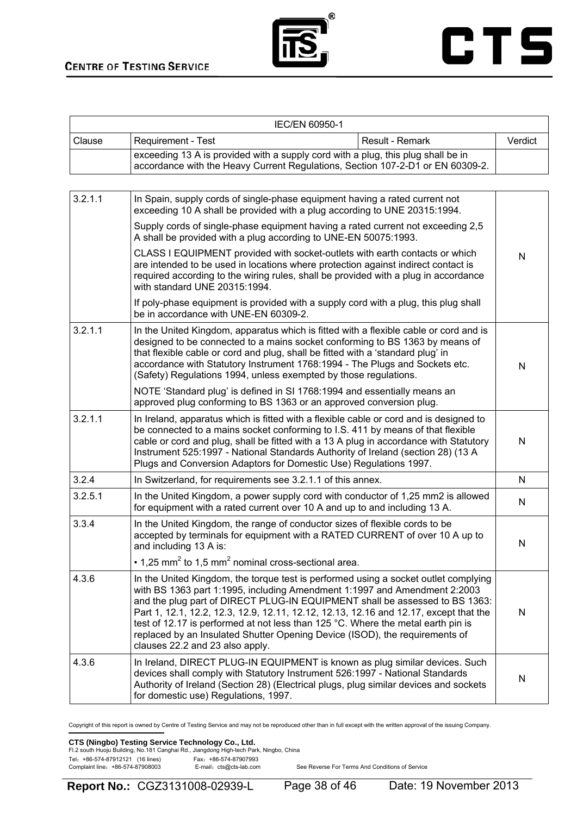

|        | IEC/EN 60950-1                                                                                                                                                     |                 |         |
|--------|--------------------------------------------------------------------------------------------------------------------------------------------------------------------|-----------------|---------|
| Clause | Requirement - Test                                                                                                                                                 | Result - Remark | Verdict |
|        | exceeding 13 A is provided with a supply cord with a plug, this plug shall be in<br>accordance with the Heavy Current Regulations, Section 107-2-D1 or EN 60309-2. |                 |         |
|        |                                                                                                                                                                    |                 |         |

| 3.2.1.1 | In Spain, supply cords of single-phase equipment having a rated current not<br>exceeding 10 A shall be provided with a plug according to UNE 20315:1994.                                                                                                                                                                                                                                                                                                                                                                                       |           |
|---------|------------------------------------------------------------------------------------------------------------------------------------------------------------------------------------------------------------------------------------------------------------------------------------------------------------------------------------------------------------------------------------------------------------------------------------------------------------------------------------------------------------------------------------------------|-----------|
|         | Supply cords of single-phase equipment having a rated current not exceeding 2,5<br>A shall be provided with a plug according to UNE-EN 50075:1993.                                                                                                                                                                                                                                                                                                                                                                                             |           |
|         | CLASS I EQUIPMENT provided with socket-outlets with earth contacts or which<br>are intended to be used in locations where protection against indirect contact is<br>required according to the wiring rules, shall be provided with a plug in accordance<br>with standard UNE 20315:1994.                                                                                                                                                                                                                                                       | N         |
|         | If poly-phase equipment is provided with a supply cord with a plug, this plug shall<br>be in accordance with UNE-EN 60309-2.                                                                                                                                                                                                                                                                                                                                                                                                                   |           |
| 3.2.1.1 | In the United Kingdom, apparatus which is fitted with a flexible cable or cord and is<br>designed to be connected to a mains socket conforming to BS 1363 by means of<br>that flexible cable or cord and plug, shall be fitted with a 'standard plug' in<br>accordance with Statutory Instrument 1768:1994 - The Plugs and Sockets etc.<br>(Safety) Regulations 1994, unless exempted by those regulations.                                                                                                                                    | N         |
|         | NOTE 'Standard plug' is defined in SI 1768:1994 and essentially means an<br>approved plug conforming to BS 1363 or an approved conversion plug.                                                                                                                                                                                                                                                                                                                                                                                                |           |
| 3.2.1.1 | In Ireland, apparatus which is fitted with a flexible cable or cord and is designed to<br>be connected to a mains socket conforming to I.S. 411 by means of that flexible<br>cable or cord and plug, shall be fitted with a 13 A plug in accordance with Statutory<br>Instrument 525:1997 - National Standards Authority of Ireland (section 28) (13 A<br>Plugs and Conversion Adaptors for Domestic Use) Regulations 1997.                                                                                                                    | ${\sf N}$ |
| 3.2.4   | In Switzerland, for requirements see 3.2.1.1 of this annex.                                                                                                                                                                                                                                                                                                                                                                                                                                                                                    | N         |
| 3.2.5.1 | In the United Kingdom, a power supply cord with conductor of 1,25 mm2 is allowed<br>for equipment with a rated current over 10 A and up to and including 13 A.                                                                                                                                                                                                                                                                                                                                                                                 | N         |
| 3.3.4   | In the United Kingdom, the range of conductor sizes of flexible cords to be<br>accepted by terminals for equipment with a RATED CURRENT of over 10 A up to<br>and including 13 A is:                                                                                                                                                                                                                                                                                                                                                           | N         |
|         | $\cdot$ 1,25 mm <sup>2</sup> to 1,5 mm <sup>2</sup> nominal cross-sectional area.                                                                                                                                                                                                                                                                                                                                                                                                                                                              |           |
| 4.3.6   | In the United Kingdom, the torque test is performed using a socket outlet complying<br>with BS 1363 part 1:1995, including Amendment 1:1997 and Amendment 2:2003<br>and the plug part of DIRECT PLUG-IN EQUIPMENT shall be assessed to BS 1363:<br>Part 1, 12.1, 12.2, 12.3, 12.9, 12.11, 12.12, 12.13, 12.16 and 12.17, except that the<br>test of 12.17 is performed at not less than 125 °C. Where the metal earth pin is<br>replaced by an Insulated Shutter Opening Device (ISOD), the requirements of<br>clauses 22.2 and 23 also apply. | N         |
| 4.3.6   | In Ireland, DIRECT PLUG-IN EQUIPMENT is known as plug similar devices. Such<br>devices shall comply with Statutory Instrument 526:1997 - National Standards<br>Authority of Ireland (Section 28) (Electrical plugs, plug similar devices and sockets<br>for domestic use) Regulations, 1997.                                                                                                                                                                                                                                                   | N         |

Copyright of this report is owned by Centre of Testing Service and may not be reproduced other than in full except with the written approval of the issuing Company.

### **CTS (Ningbo) Testing Service Technology Co., Ltd.**<br>Fl.2 south Huoju Building, No.181 Canghai Rd., Jiangdong High-tech Park, Ningbo, China

Tel: +86-574-87912121 (16 lines)<br>Complaint line: +86-574-87908003 E-mail: cts@cts-lab.com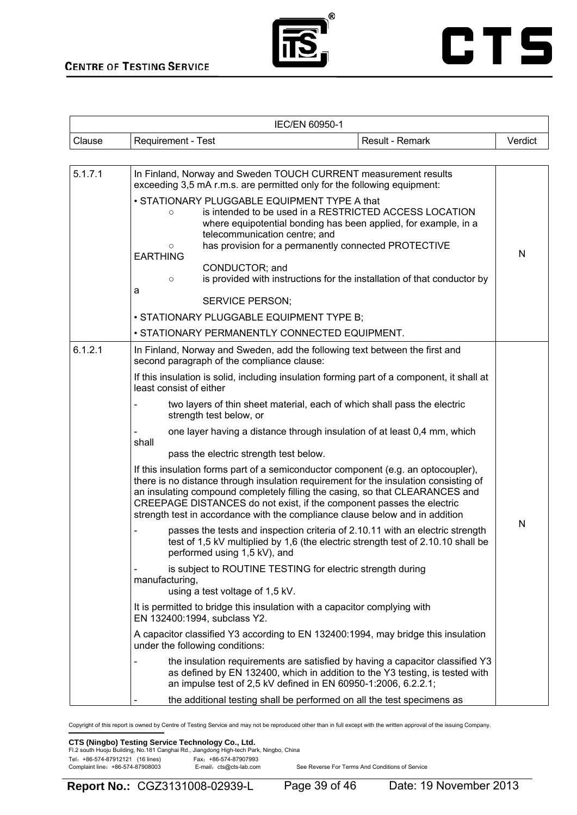



|        |                    | <b>IEC/EN 60950-1</b> |                 |         |
|--------|--------------------|-----------------------|-----------------|---------|
| Clause | Requirement - Test |                       | Result - Remark | Verdict |
|        |                    |                       |                 |         |

| 5.1.7.1 | In Finland, Norway and Sweden TOUCH CURRENT measurement results<br>exceeding 3,5 mA r.m.s. are permitted only for the following equipment:<br>• STATIONARY PLUGGABLE EQUIPMENT TYPE A that<br>is intended to be used in a RESTRICTED ACCESS LOCATION<br>$\circ$<br>where equipotential bonding has been applied, for example, in a<br>telecommunication centre; and<br>has provision for a permanently connected PROTECTIVE<br>O<br><b>EARTHING</b><br>CONDUCTOR; and<br>is provided with instructions for the installation of that conductor by<br>$\circ$<br>a<br><b>SERVICE PERSON;</b><br>• STATIONARY PLUGGABLE EQUIPMENT TYPE B;<br>• STATIONARY PERMANENTLY CONNECTED EQUIPMENT.                                                                                                                                                                                                                                                                                                                                                                                                                                                                                                                                                                                                                                                                                                                                                                                                                                                                                                                                                                                                                                                                                                  | N |
|---------|------------------------------------------------------------------------------------------------------------------------------------------------------------------------------------------------------------------------------------------------------------------------------------------------------------------------------------------------------------------------------------------------------------------------------------------------------------------------------------------------------------------------------------------------------------------------------------------------------------------------------------------------------------------------------------------------------------------------------------------------------------------------------------------------------------------------------------------------------------------------------------------------------------------------------------------------------------------------------------------------------------------------------------------------------------------------------------------------------------------------------------------------------------------------------------------------------------------------------------------------------------------------------------------------------------------------------------------------------------------------------------------------------------------------------------------------------------------------------------------------------------------------------------------------------------------------------------------------------------------------------------------------------------------------------------------------------------------------------------------------------------------------------------------|---|
| 6.1.2.1 | In Finland, Norway and Sweden, add the following text between the first and<br>second paragraph of the compliance clause:<br>If this insulation is solid, including insulation forming part of a component, it shall at<br>least consist of either<br>two layers of thin sheet material, each of which shall pass the electric<br>strength test below, or<br>one layer having a distance through insulation of at least 0,4 mm, which<br>shall<br>pass the electric strength test below.<br>If this insulation forms part of a semiconductor component (e.g. an optocoupler),<br>there is no distance through insulation requirement for the insulation consisting of<br>an insulating compound completely filling the casing, so that CLEARANCES and<br>CREEPAGE DISTANCES do not exist, if the component passes the electric<br>strength test in accordance with the compliance clause below and in addition<br>passes the tests and inspection criteria of 2.10.11 with an electric strength<br>test of 1,5 kV multiplied by 1,6 (the electric strength test of 2.10.10 shall be<br>performed using 1,5 kV), and<br>is subject to ROUTINE TESTING for electric strength during<br>manufacturing,<br>using a test voltage of 1,5 kV.<br>It is permitted to bridge this insulation with a capacitor complying with<br>EN 132400:1994, subclass Y2.<br>A capacitor classified Y3 according to EN 132400:1994, may bridge this insulation<br>under the following conditions:<br>the insulation requirements are satisfied by having a capacitor classified Y3<br>as defined by EN 132400, which in addition to the Y3 testing, is tested with<br>an impulse test of 2,5 kV defined in EN 60950-1:2006, 6.2.2.1;<br>the additional testing shall be performed on all the test specimens as | N |

Copyright of this report is owned by Centre of Testing Service and may not be reproduced other than in full except with the written approval of the issuing Company.

#### **CTS (Ningbo) Testing Service Technology Co., Ltd.**

| Fl.2 south Huoju Building, No.181 Canghai Rd., Jiangdong High-tech Park, Ningbo, China |                                                  |  |
|----------------------------------------------------------------------------------------|--------------------------------------------------|--|
| Tel: +86-574-87912121 (16 lines)<br>Complaint line: +86-574-87908003                   | Fax: +86-574-87907993<br>E-mail: cts@cts-lab.com |  |
|                                                                                        |                                                  |  |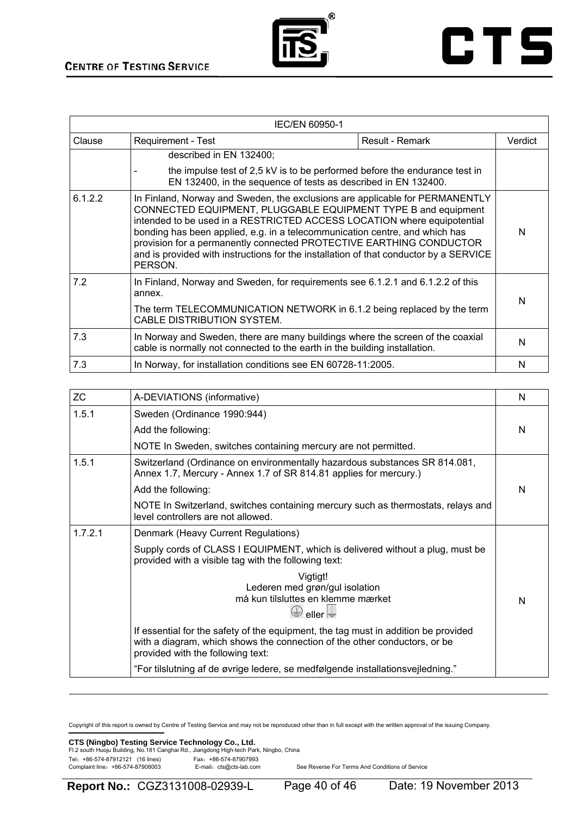



|         | <b>IEC/EN 60950-1</b>                                                                                                                                                                                                                                                                                                                                                                                                                                                              |  |   |  |  |  |
|---------|------------------------------------------------------------------------------------------------------------------------------------------------------------------------------------------------------------------------------------------------------------------------------------------------------------------------------------------------------------------------------------------------------------------------------------------------------------------------------------|--|---|--|--|--|
| Clause  | Requirement - Test<br>Result - Remark                                                                                                                                                                                                                                                                                                                                                                                                                                              |  |   |  |  |  |
|         | described in EN 132400;                                                                                                                                                                                                                                                                                                                                                                                                                                                            |  |   |  |  |  |
|         | the impulse test of 2,5 kV is to be performed before the endurance test in<br>EN 132400, in the sequence of tests as described in EN 132400.                                                                                                                                                                                                                                                                                                                                       |  |   |  |  |  |
| 6.1.2.2 | In Finland, Norway and Sweden, the exclusions are applicable for PERMANENTLY<br>CONNECTED EQUIPMENT, PLUGGABLE EQUIPMENT TYPE B and equipment<br>intended to be used in a RESTRICTED ACCESS LOCATION where equipotential<br>bonding has been applied, e.g. in a telecommunication centre, and which has<br>provision for a permanently connected PROTECTIVE EARTHING CONDUCTOR<br>and is provided with instructions for the installation of that conductor by a SERVICE<br>PERSON. |  | N |  |  |  |
| 7.2     | In Finland, Norway and Sweden, for requirements see 6.1.2.1 and 6.1.2.2 of this<br>annex.<br>The term TELECOMMUNICATION NETWORK in 6.1.2 being replaced by the term<br>CABLE DISTRIBUTION SYSTEM.                                                                                                                                                                                                                                                                                  |  | N |  |  |  |
| 7.3     | In Norway and Sweden, there are many buildings where the screen of the coaxial<br>cable is normally not connected to the earth in the building installation.                                                                                                                                                                                                                                                                                                                       |  | N |  |  |  |
| 7.3     | In Norway, for installation conditions see EN 60728-11:2005.                                                                                                                                                                                                                                                                                                                                                                                                                       |  | N |  |  |  |

| <b>ZC</b> | A-DEVIATIONS (informative)                                                                                                                                                                           | N |
|-----------|------------------------------------------------------------------------------------------------------------------------------------------------------------------------------------------------------|---|
| 1.5.1     | Sweden (Ordinance 1990:944)                                                                                                                                                                          |   |
|           | Add the following:                                                                                                                                                                                   | N |
|           | NOTE In Sweden, switches containing mercury are not permitted.                                                                                                                                       |   |
| 1.5.1     | Switzerland (Ordinance on environmentally hazardous substances SR 814.081,<br>Annex 1.7, Mercury - Annex 1.7 of SR 814.81 applies for mercury.)                                                      |   |
|           | Add the following:                                                                                                                                                                                   | N |
|           | NOTE In Switzerland, switches containing mercury such as thermostats, relays and<br>level controllers are not allowed.                                                                               |   |
| 1.7.2.1   | Denmark (Heavy Current Regulations)                                                                                                                                                                  |   |
|           | Supply cords of CLASS I EQUIPMENT, which is delivered without a plug, must be<br>provided with a visible tag with the following text:                                                                |   |
|           | Vigtigt!<br>Lederen med grøn/gul isolation<br>må kun tilsluttes en klemme mærket<br>eller $\equiv$                                                                                                   | N |
|           | If essential for the safety of the equipment, the tag must in addition be provided<br>with a diagram, which shows the connection of the other conductors, or be<br>provided with the following text: |   |
|           | "For tilslutning af de øvrige ledere, se medfølgende installationsvejledning."                                                                                                                       |   |

Copyright of this report is owned by Centre of Testing Service and may not be reproduced other than in full except with the written approval of the issuing Company.

#### **CTS (Ningbo) Testing Service Technology Co., Ltd.**

| .                                |                                                                                        |  |
|----------------------------------|----------------------------------------------------------------------------------------|--|
|                                  | Fl.2 south Huoju Building, No.181 Canghai Rd., Jiangdong High-tech Park, Ningbo, China |  |
| Tel: +86-574-87912121 (16 lines) | Fax: +86-574-87907993                                                                  |  |
| Complaint line: +86-574-87908003 | E-mail: cts@cts-lab.com                                                                |  |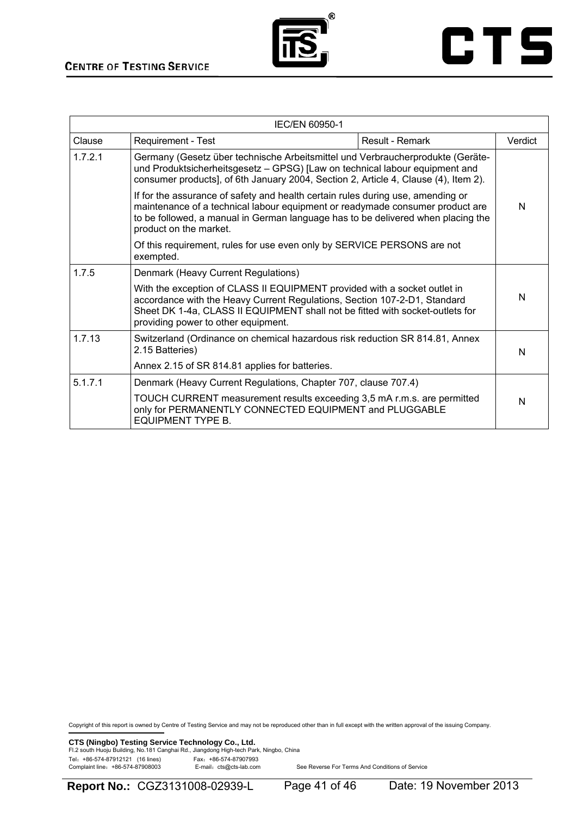



| IEC/EN 60950-1 |                                                                                                                                                                                                                                                                                |                 |         |  |
|----------------|--------------------------------------------------------------------------------------------------------------------------------------------------------------------------------------------------------------------------------------------------------------------------------|-----------------|---------|--|
| Clause         | Requirement - Test                                                                                                                                                                                                                                                             | Result - Remark | Verdict |  |
| 1.7.2.1        | Germany (Gesetz über technische Arbeitsmittel und Verbraucherprodukte (Geräte-<br>und Produktsicherheitsgesetz - GPSG) [Law on technical labour equipment and<br>consumer products], of 6th January 2004, Section 2, Article 4, Clause (4), Item 2).                           |                 |         |  |
|                | If for the assurance of safety and health certain rules during use, amending or<br>maintenance of a technical labour equipment or readymade consumer product are<br>to be followed, a manual in German language has to be delivered when placing the<br>product on the market. |                 | N       |  |
|                | Of this requirement, rules for use even only by SERVICE PERSONS are not<br>exempted.                                                                                                                                                                                           |                 |         |  |
| 1.7.5          | Denmark (Heavy Current Regulations)                                                                                                                                                                                                                                            |                 |         |  |
|                | With the exception of CLASS II EQUIPMENT provided with a socket outlet in<br>accordance with the Heavy Current Regulations, Section 107-2-D1, Standard<br>Sheet DK 1-4a, CLASS II EQUIPMENT shall not be fitted with socket-outlets for<br>providing power to other equipment. |                 | N       |  |
| 1.7.13         | Switzerland (Ordinance on chemical hazardous risk reduction SR 814.81, Annex<br>2.15 Batteries)                                                                                                                                                                                |                 | N       |  |
|                | Annex 2.15 of SR 814.81 applies for batteries.                                                                                                                                                                                                                                 |                 |         |  |
| 5.1.7.1        | Denmark (Heavy Current Regulations, Chapter 707, clause 707.4)                                                                                                                                                                                                                 |                 |         |  |
|                | TOUCH CURRENT measurement results exceeding 3,5 mA r.m.s. are permitted<br>only for PERMANENTLY CONNECTED EQUIPMENT and PLUGGABLE<br><b>EQUIPMENT TYPE B.</b>                                                                                                                  |                 | N       |  |

Copyright of this report is owned by Centre of Testing Service and may not be reproduced other than in full except with the written approval of the issuing Company.

**CTS (Ningbo) Testing Service Technology Co., Ltd.**<br>Fl.2 south Huoju Building, No.181 Canghai Rd., Jiangdong High-tech Park, Ningbo, China Tel: +86-574-87912121 (16 lines)<br>Complaint line: +86-574-87908003 E-mail: cts@cts-lab.com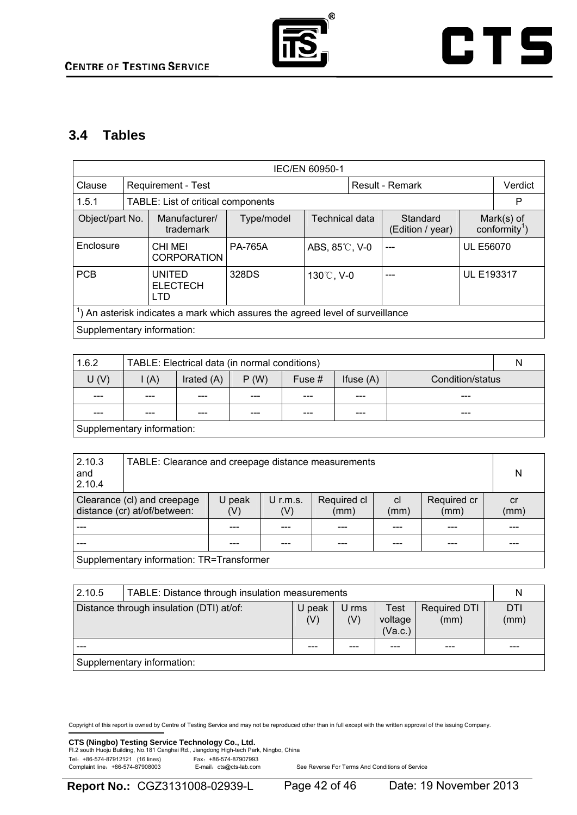

### **3.4 Tables**

| <b>IEC/EN 60950-1</b>                                                                                                                                    |  |                                         |                |                |  |                 |                   |         |
|----------------------------------------------------------------------------------------------------------------------------------------------------------|--|-----------------------------------------|----------------|----------------|--|-----------------|-------------------|---------|
| Clause                                                                                                                                                   |  | <b>Requirement - Test</b>               |                |                |  | Result - Remark |                   | Verdict |
| 1.5.1                                                                                                                                                    |  | TABLE: List of critical components      |                |                |  |                 |                   | P       |
| Manufacturer/<br>Object/part No.<br>Technical data<br>Type/model<br>Mark(s) of<br>Standard<br>conformity <sup>1</sup> )<br>trademark<br>(Edition / year) |  |                                         |                |                |  |                 |                   |         |
| Enclosure                                                                                                                                                |  | CHI MEI<br><b>CORPORATION</b>           | <b>PA-765A</b> | ABS, 85°C, V-0 |  | ---             | <b>UL E56070</b>  |         |
| <b>PCB</b>                                                                                                                                               |  | UNITED<br><b>ELECTECH</b><br><b>LTD</b> | 328DS          | 130°C, V-0     |  | ---             | <b>UL E193317</b> |         |
| An asterisk indicates a mark which assures the agreed level of surveillance                                                                              |  |                                         |                |                |  |                 |                   |         |
|                                                                                                                                                          |  | Supplementary information:              |                |                |  |                 |                   |         |

| 1.6.2                      | TABLE: Electrical data (in normal conditions) |              |      |        |              |                  | N |
|----------------------------|-----------------------------------------------|--------------|------|--------|--------------|------------------|---|
| U(V)                       | $\mathsf{I}(A)$                               | Irated $(A)$ | P(W) | Fuse # | If $($ A $)$ | Condition/status |   |
|                            | ---                                           |              |      |        | ---          | ---              |   |
|                            | ---                                           | ---          | ---  |        | ---          | ---              |   |
| Supplementary information: |                                               |              |      |        |              |                  |   |

| 2.10.3<br>and<br>2.10.4 | TABLE: Clearance and creepage distance measurements         |              |                 |                     |                       |                     |            |  |  |
|-------------------------|-------------------------------------------------------------|--------------|-----------------|---------------------|-----------------------|---------------------|------------|--|--|
|                         | Clearance (cl) and creepage<br>distance (cr) at/of/between: | U peak<br>V) | U r.m.s.<br>(V) | Required cl<br>(mm) | <sub>cl</sub><br>(mm) | Required cr<br>(mm) | cr<br>(mm) |  |  |
|                         |                                                             |              |                 |                     |                       |                     |            |  |  |
|                         |                                                             |              |                 |                     |                       |                     |            |  |  |
|                         | Supplementary information: TR=Transformer                   |              |                 |                     |                       |                     |            |  |  |

| 2.10.5                                   | TABLE: Distance through insulation measurements |  |              |                            |                      |             |  |
|------------------------------------------|-------------------------------------------------|--|--------------|----------------------------|----------------------|-------------|--|
| Distance through insulation (DTI) at/of: |                                                 |  | U rms<br>(V) | Test<br>voltage<br>(Va.c.) | Required DTI<br>(mm) | DTI<br>(mm) |  |
|                                          |                                                 |  | ---          |                            |                      | ---         |  |
|                                          | Supplementary information:                      |  |              |                            |                      |             |  |

Copyright of this report is owned by Centre of Testing Service and may not be reproduced other than in full except with the written approval of the issuing Company.

**CTS (Ningbo) Testing Service Technology Co., Ltd.**<br>Fl.2 south Huoju Building, No.181 Canghai Rd., Jiangdong High-tech Park, Ningbo, China Tel: +86-574-87912121 (16 lines)<br>Complaint line: +86-574-87908003 E-mail: cts@cts-lab.com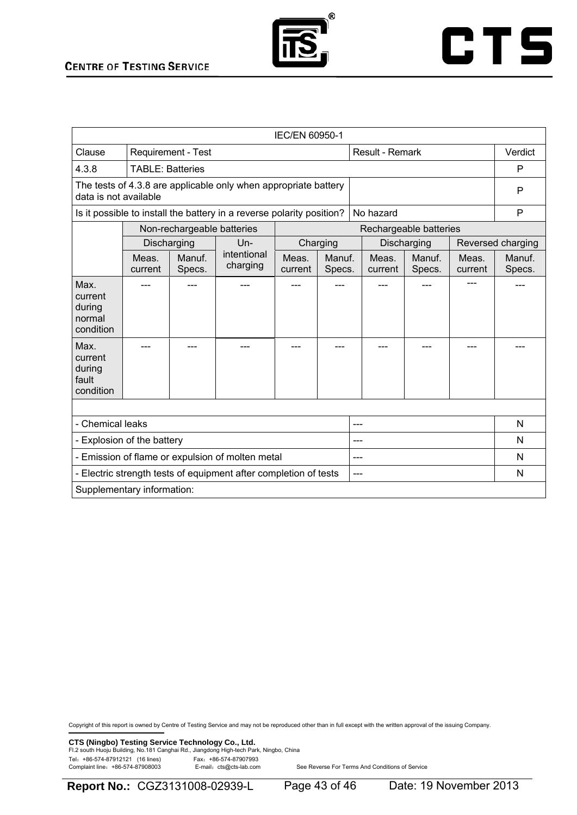



| IEC/EN 60950-1                                   |                                                                                          |                                              |                                                                       |                  |                  |     |                  |                        |                  |                   |
|--------------------------------------------------|------------------------------------------------------------------------------------------|----------------------------------------------|-----------------------------------------------------------------------|------------------|------------------|-----|------------------|------------------------|------------------|-------------------|
| Clause                                           |                                                                                          | Result - Remark<br><b>Requirement - Test</b> |                                                                       |                  |                  |     |                  |                        |                  | Verdict           |
| 4.3.8                                            | <b>TABLE: Batteries</b>                                                                  |                                              |                                                                       |                  |                  |     |                  |                        | P                |                   |
|                                                  | The tests of 4.3.8 are applicable only when appropriate battery<br>data is not available |                                              |                                                                       |                  |                  |     |                  |                        | P                |                   |
|                                                  |                                                                                          |                                              | Is it possible to install the battery in a reverse polarity position? |                  |                  |     | No hazard        |                        |                  | P                 |
|                                                  |                                                                                          | Non-rechargeable batteries                   |                                                                       |                  |                  |     |                  | Rechargeable batteries |                  |                   |
|                                                  |                                                                                          | Discharging                                  | $Un-$                                                                 |                  | Charging         |     |                  | Discharging            |                  | Reversed charging |
|                                                  | Meas.<br>current                                                                         | Manuf.<br>Specs.                             | intentional<br>charging                                               | Meas.<br>current | Manuf.<br>Specs. |     | Meas.<br>current | Manuf.<br>Specs.       | Meas.<br>current | Manuf.<br>Specs.  |
| Max.<br>current<br>during<br>normal<br>condition |                                                                                          |                                              |                                                                       |                  |                  |     |                  |                        |                  |                   |
| Max.<br>current<br>during<br>fault<br>condition  |                                                                                          |                                              |                                                                       |                  |                  |     |                  |                        |                  |                   |
|                                                  |                                                                                          |                                              |                                                                       |                  |                  |     |                  |                        |                  |                   |
| - Chemical leaks                                 |                                                                                          |                                              |                                                                       |                  |                  |     |                  |                        |                  | N                 |
| - Explosion of the battery<br>---                |                                                                                          |                                              |                                                                       |                  |                  |     | N                |                        |                  |                   |
|                                                  |                                                                                          |                                              | - Emission of flame or expulsion of molten metal                      |                  |                  |     |                  |                        |                  | N                 |
|                                                  |                                                                                          |                                              | - Electric strength tests of equipment after completion of tests      |                  |                  | --- |                  |                        |                  | $\mathsf{N}$      |
|                                                  | Supplementary information:                                                               |                                              |                                                                       |                  |                  |     |                  |                        |                  |                   |

Copyright of this report is owned by Centre of Testing Service and may not be reproduced other than in full except with the written approval of the issuing Company.

**CTS (Ningbo) Testing Service Technology Co., Ltd.**<br>Fl.2 south Huoju Building, No.181 Canghai Rd., Jiangdong High-tech Park, Ningbo, China

Tel: +86-574-87912121 (16 lines)<br>Complaint line: +86-574-87908003 E-mail: cts@cts-lab.com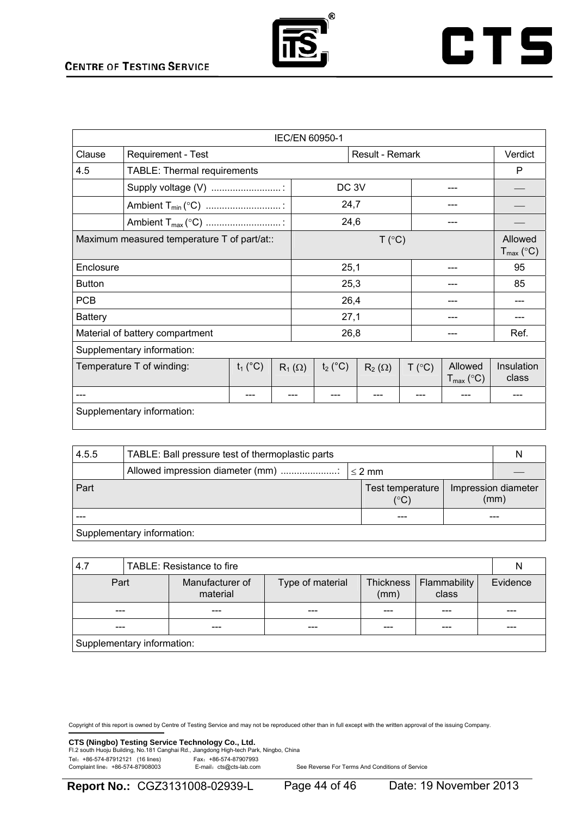



| <b>IEC/EN 60950-1</b>                       |                                    |  |               |                  |               |        |                                  |                     |
|---------------------------------------------|------------------------------------|--|---------------|------------------|---------------|--------|----------------------------------|---------------------|
| Clause                                      | Requirement - Test                 |  |               | Result - Remark  |               |        |                                  | Verdict             |
| 4.5                                         | <b>TABLE: Thermal requirements</b> |  |               |                  |               |        |                                  | P                   |
|                                             | Supply voltage (V)                 |  |               | DC <sub>3V</sub> |               |        |                                  |                     |
|                                             |                                    |  |               | 24,7             |               |        |                                  |                     |
|                                             |                                    |  |               | 24,6             |               |        |                                  |                     |
| Maximum measured temperature T of part/at:: |                                    |  |               | T (°C)           |               |        |                                  |                     |
| Enclosure                                   |                                    |  |               | 25,1             |               |        |                                  | 95                  |
| <b>Button</b>                               |                                    |  |               | 25,3             |               |        |                                  | 85                  |
| <b>PCB</b>                                  |                                    |  |               | 26,4             |               |        |                                  |                     |
| <b>Battery</b>                              |                                    |  |               | 27,1             |               |        |                                  |                     |
|                                             | Material of battery compartment    |  |               | 26,8             |               |        |                                  | Ref.                |
|                                             | Supplementary information:         |  |               |                  |               |        |                                  |                     |
| Temperature T of winding:<br>$t_1$ (°C)     |                                    |  | $R_1(\Omega)$ | $t_2$ (°C)       | $R_2(\Omega)$ | T (°C) | Allowed<br>$T_{\text{max}}$ (°C) | Insulation<br>class |
|                                             |                                    |  |               |                  |               |        |                                  |                     |
|                                             | Supplementary information:         |  |               |                  |               |        |                                  |                     |

| 4.5.5                      | TABLE: Ball pressure test of thermoplastic parts |  |                                  |  |                             |  |
|----------------------------|--------------------------------------------------|--|----------------------------------|--|-----------------------------|--|
|                            | Allowed impression diameter (mm)<br>$\leq 2$ mm  |  |                                  |  |                             |  |
| l Part                     |                                                  |  | Test temperature<br>$(^\circ C)$ |  | Impression diameter<br>(mm) |  |
|                            |                                                  |  |                                  |  |                             |  |
| Supplementary information: |                                                  |  |                                  |  |                             |  |

| 4.7                        | TABLE: Resistance to fire |                             |                  |                   |                       |     |          |  |
|----------------------------|---------------------------|-----------------------------|------------------|-------------------|-----------------------|-----|----------|--|
| Part                       |                           | Manufacturer of<br>material | Type of material | Thickness<br>(mm) | Flammability<br>class |     | Evidence |  |
| ---                        |                           |                             | ---              |                   |                       |     | ---      |  |
|                            |                           |                             | ---              |                   |                       | --- |          |  |
| Supplementary information: |                           |                             |                  |                   |                       |     |          |  |

Copyright of this report is owned by Centre of Testing Service and may not be reproduced other than in full except with the written approval of the issuing Company.

**CTS (Ningbo) Testing Service Technology Co., Ltd.**<br>Fl.2 south Huoju Building, No.181 Canghai Rd., Jiangdong High-tech Park, Ningbo, China Tel: +86-574-87912121 (16 lines)<br>Complaint line: +86-574-87908003 E-mail: cts@cts-lab.com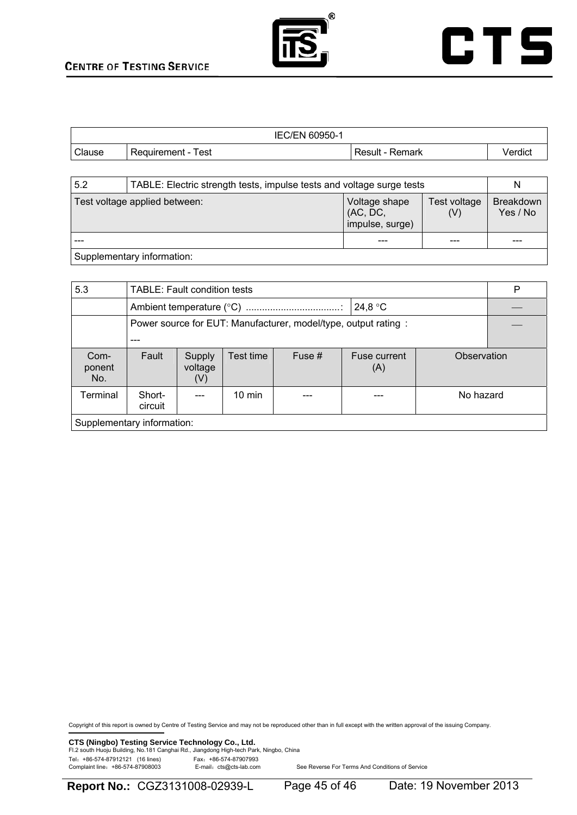

|        | <b>IEC/EN 60950-1</b> |                 |         |
|--------|-----------------------|-----------------|---------|
| Clause | Requirement - Test    | Result - Remark | Verdict |

| 5.2 | TABLE: Electric strength tests, impulse tests and voltage surge tests |                                              |                     |                              |  |  |  |
|-----|-----------------------------------------------------------------------|----------------------------------------------|---------------------|------------------------------|--|--|--|
|     | Test voltage applied between:                                         | Voltage shape<br>(AC, DC,<br>impulse, surge) | Test voltage<br>(V) | <b>Breakdown</b><br>Yes / No |  |  |  |
|     |                                                                       |                                              |                     |                              |  |  |  |
|     | Supplementary information:                                            |                                              |                     |                              |  |  |  |

| 5.3                        | <b>TABLE: Fault condition tests</b>                            |                          |           |        |                     |             |  |  |
|----------------------------|----------------------------------------------------------------|--------------------------|-----------|--------|---------------------|-------------|--|--|
|                            | 24,8 °C                                                        |                          |           |        |                     |             |  |  |
|                            | Power source for EUT: Manufacturer, model/type, output rating: |                          |           |        |                     |             |  |  |
|                            |                                                                |                          |           |        |                     |             |  |  |
| Com-<br>ponent<br>No.      | Fault                                                          | Supply<br>voltage<br>(V) | Test time | Fuse # | Fuse current<br>(A) | Observation |  |  |
| Terminal                   | Short-<br>circuit                                              |                          | $10$ min  |        |                     | No hazard   |  |  |
| Supplementary information: |                                                                |                          |           |        |                     |             |  |  |

Copyright of this report is owned by Centre of Testing Service and may not be reproduced other than in full except with the written approval of the issuing Company.

**CTS (Ningbo) Testing Service Technology Co., Ltd.**<br>Fl.2 south Huoju Building, No.181 Canghai Rd., Jiangdong High-tech Park, Ningbo, China Tel: +86-574-87912121 (16 lines)<br>Complaint line: +86-574-87908003 E-mail: cts@cts-lab.com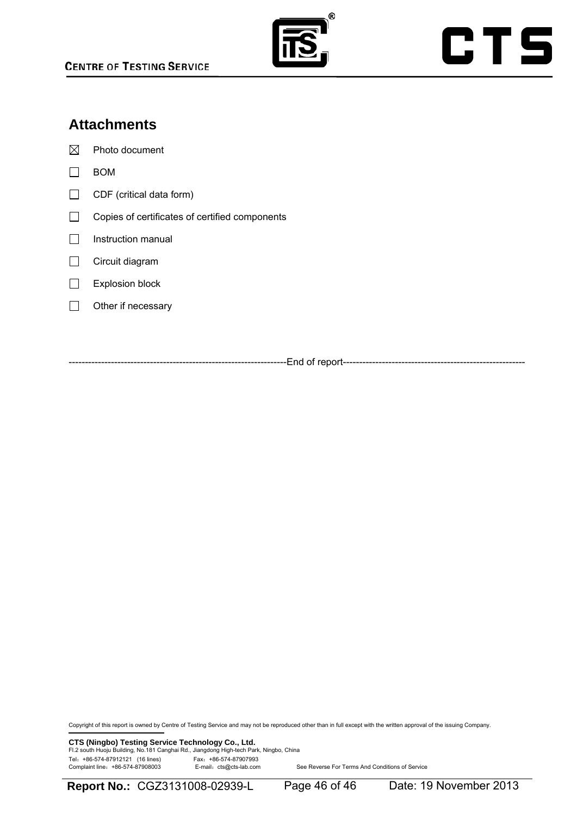

## **Attachments**

 $\boxtimes$  Photo document

- $\Box$  BOM
- $\Box$  CDF (critical data form)
- Copies of certificates of certified components
- $\Box$  Instruction manual
- Circuit diagram
- Explosion block
- $\Box$  Other if necessary

-----------End of report------

Copyright of this report is owned by Centre of Testing Service and may not be reproduced other than in full except with the written approval of the issuing Company.

**CTS (Ningbo) Testing Service Technology Co., Ltd.**<br>Fl.2 south Huoju Building, No.181 Canghai Rd., Jiangdong High-tech Park, Ningbo, China Tel: +86-574-87912121 (16 lines)<br>Complaint line: +86-574-87908003 E-mail: cts@cts-lab.com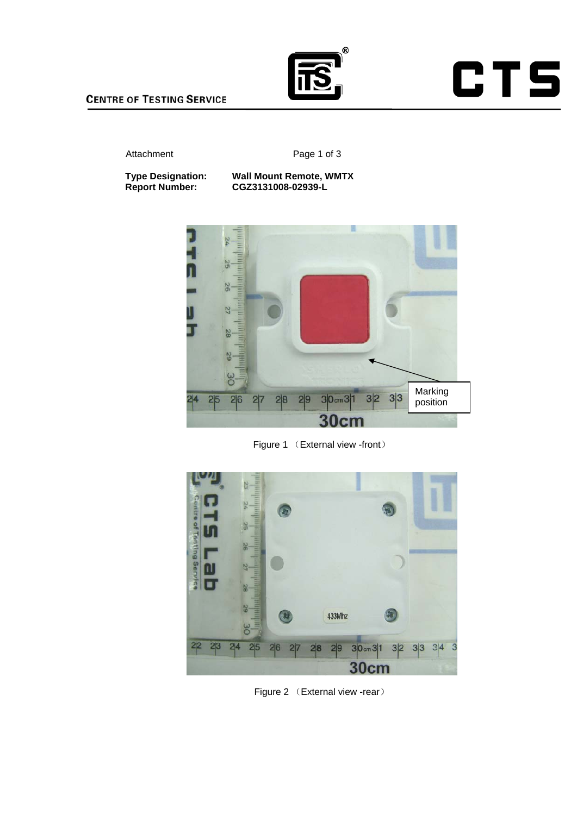

#### **CENTRE OF TESTING SERVICE**

#### Attachment Page 1 of 3

#### **Type Designation: Wall Mount Remote, WMTX Report Number: CGZ3131008-02939-L**



Figure 1 (External view -front)



Figure 2 (External view -rear)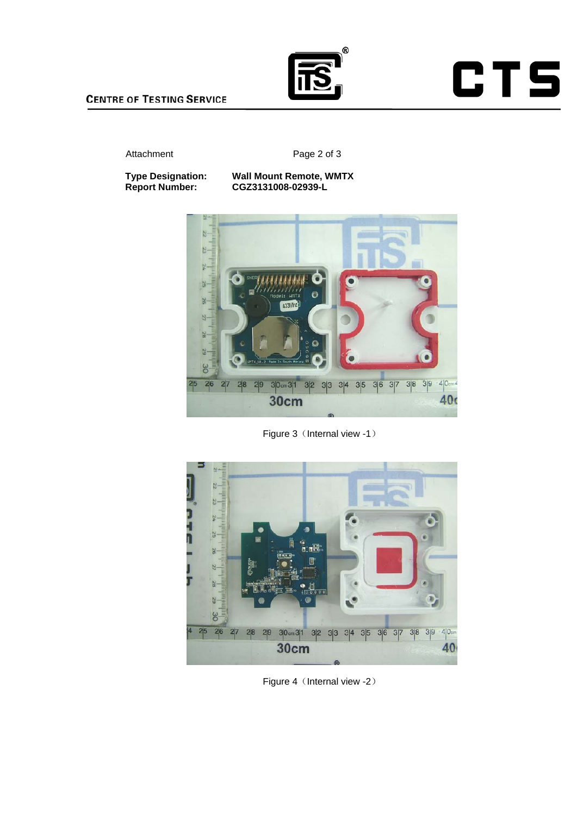

#### Attachment Page 2 of 3

#### **Type Designation: Wall Mount Remote, WMTX Report Number: CGZ3131008-02939-L**



Figure 3 (Internal view -1)



Figure 4 (Internal view -2)